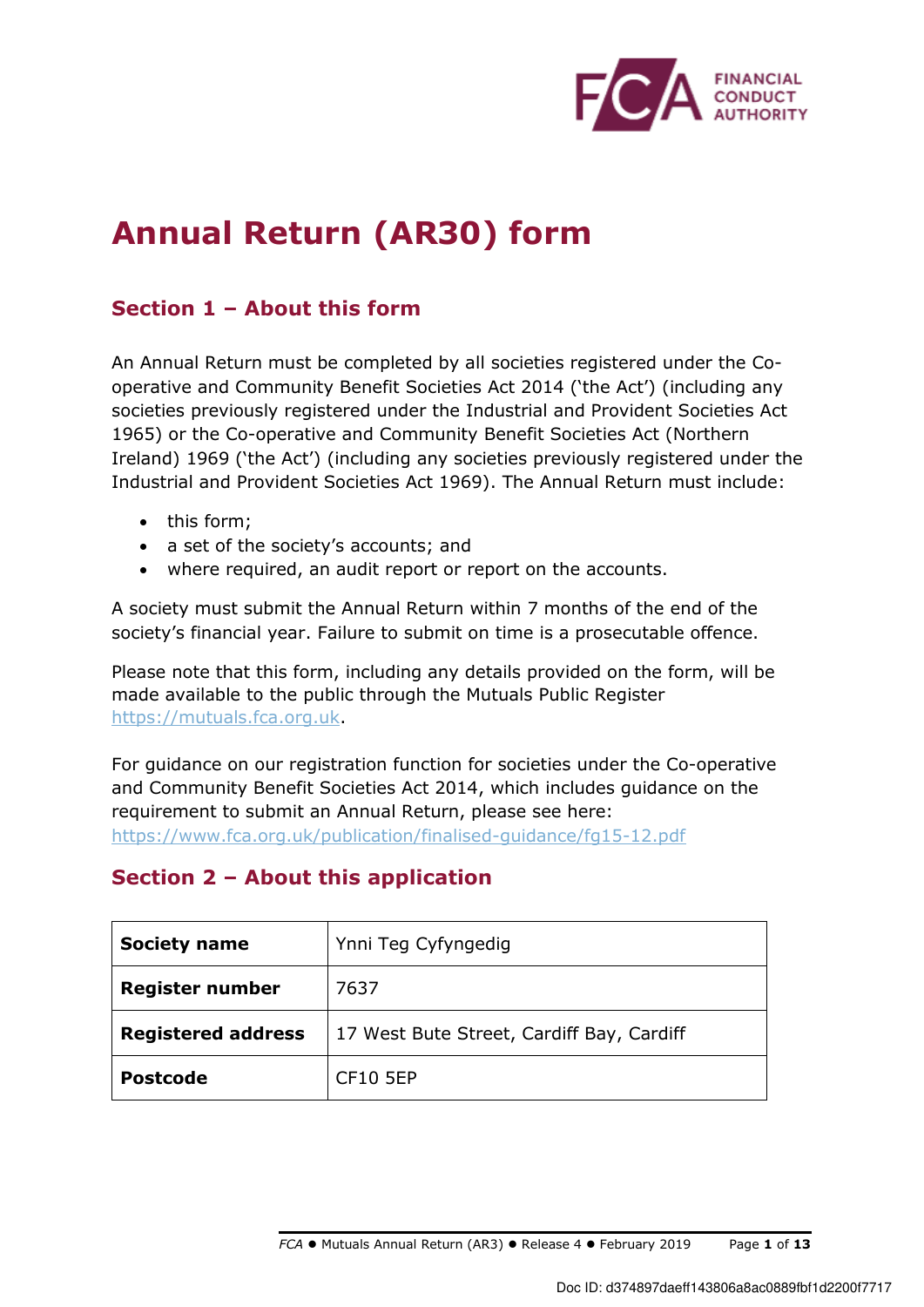

# **Annual Return (AR30) form**

# **Section 1 – About this form**

An Annual Return must be completed by all societies registered under the Cooperative and Community Benefit Societies Act 2014 ('the Act') (including any societies previously registered under the Industrial and Provident Societies Act 1965) or the Co-operative and Community Benefit Societies Act (Northern Ireland) 1969 ('the Act') (including any societies previously registered under the Industrial and Provident Societies Act 1969). The Annual Return must include:

- this form;
- a set of the society's accounts; and
- where required, an audit report or report on the accounts.

A society must submit the Annual Return within 7 months of the end of the society's financial year. Failure to submit on time is a prosecutable offence.

Please note that this form, including any details provided on the form, will be made available to the public through the Mutuals Public Register https://mutuals.fca.org.uk.

For guidance on our registration function for societies under the Co-operative and Community Benefit Societies Act 2014, which includes guidance on the requirement to submit an Annual Return, please see here: https://www.fca.org.uk/publication/finalised-guidance/fg15-12.pdf

# **Section 2 – About this application**

| <b>Society name</b>       | Ynni Teg Cyfyngedig                       |
|---------------------------|-------------------------------------------|
| <b>Register number</b>    | 7637                                      |
| <b>Registered address</b> | 17 West Bute Street, Cardiff Bay, Cardiff |
| <b>Postcode</b>           | <b>CF10 5EP</b>                           |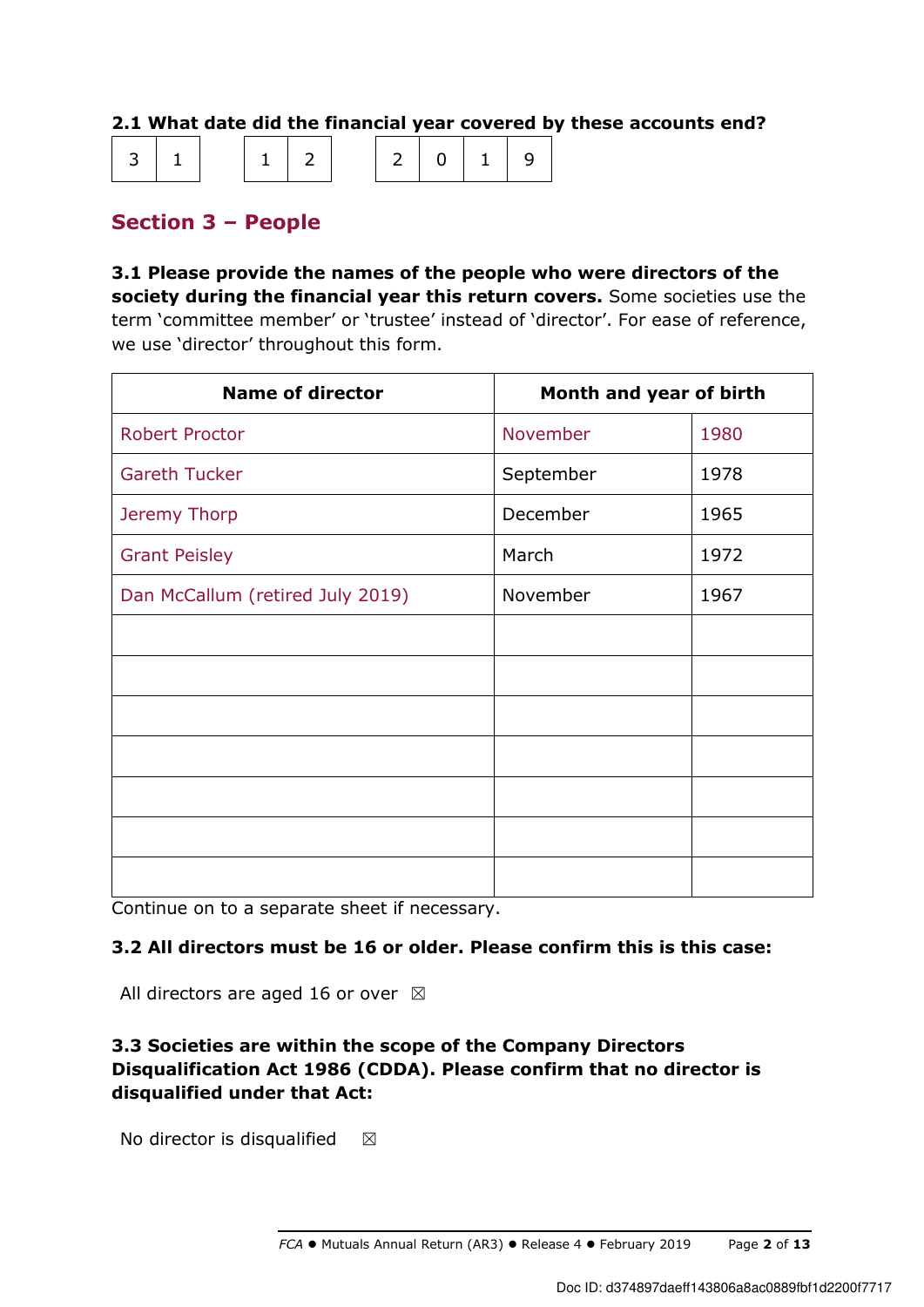### **2.1 What date did the financial year covered by these accounts end?**

| $ 3 1 $ $ 1 2 $ $ 2 0 1 9 $ |  |  |  |  |
|-----------------------------|--|--|--|--|
|-----------------------------|--|--|--|--|

# **Section 3 – People**

**3.1 Please provide the names of the people who were directors of the society during the financial year this return covers.** Some societies use the term 'committee member' or 'trustee' instead of 'director'. For ease of reference, we use 'director' throughout this form.

| <b>Name of director</b>          | Month and year of birth |      |
|----------------------------------|-------------------------|------|
| <b>Robert Proctor</b>            | November                | 1980 |
| <b>Gareth Tucker</b>             | September               | 1978 |
| Jeremy Thorp                     | December                | 1965 |
| <b>Grant Peisley</b>             | March                   | 1972 |
| Dan McCallum (retired July 2019) | November                | 1967 |
|                                  |                         |      |
|                                  |                         |      |
|                                  |                         |      |
|                                  |                         |      |
|                                  |                         |      |
|                                  |                         |      |
|                                  |                         |      |

Continue on to a separate sheet if necessary.

### **3.2 All directors must be 16 or older. Please confirm this is this case:**

All directors are aged 16 or over  $\boxtimes$ 

## **3.3 Societies are within the scope of the Company Directors Disqualification Act 1986 (CDDA). Please confirm that no director is disqualified under that Act:**

No director is disqualified  $\boxtimes$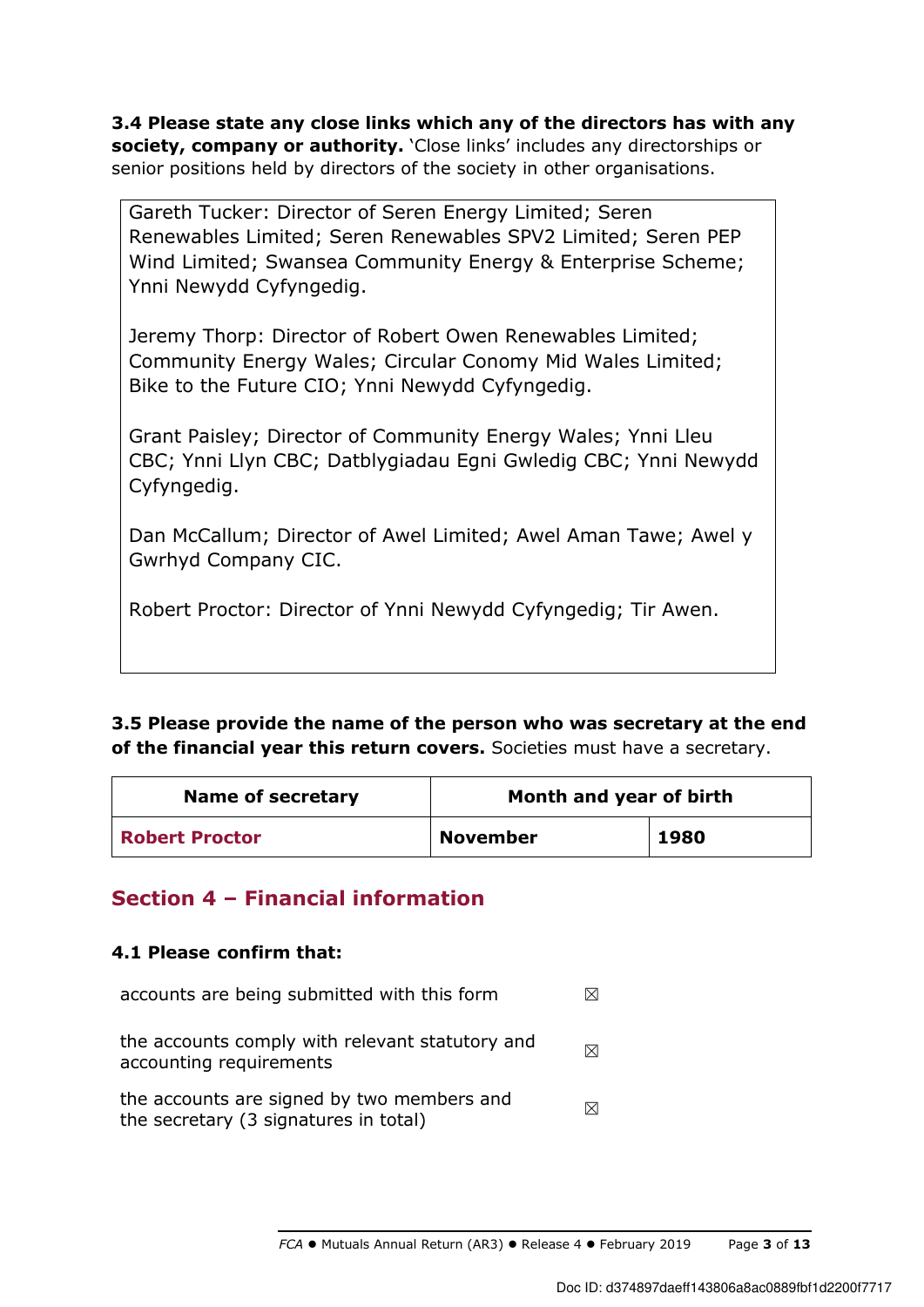**3.4 Please state any close links which any of the directors has with any society, company or authority.** 'Close links' includes any directorships or senior positions held by directors of the society in other organisations.

Gareth Tucker: Director of Seren Energy Limited; Seren Renewables Limited; Seren Renewables SPV2 Limited; Seren PEP Wind Limited; Swansea Community Energy & Enterprise Scheme; Ynni Newydd Cyfyngedig.

Jeremy Thorp: Director of Robert Owen Renewables Limited; Community Energy Wales; Circular Conomy Mid Wales Limited; Bike to the Future CIO; Ynni Newydd Cyfyngedig.

Grant Paisley; Director of Community Energy Wales; Ynni Lleu CBC; Ynni Llyn CBC; Datblygiadau Egni Gwledig CBC; Ynni Newydd Cyfyngedig.

Dan McCallum; Director of Awel Limited; Awel Aman Tawe; Awel y Gwrhyd Company CIC.

Robert Proctor: Director of Ynni Newydd Cyfyngedig; Tir Awen.

## **3.5 Please provide the name of the person who was secretary at the end of the financial year this return covers.** Societies must have a secretary.

| <b>Name of secretary</b> | Month and year of birth |      |
|--------------------------|-------------------------|------|
| <b>Robert Proctor</b>    | <b>November</b>         | 1980 |

# **Section 4 – Financial information**

### **4.1 Please confirm that:**

| accounts are being submitted with this form                                         |   |
|-------------------------------------------------------------------------------------|---|
| the accounts comply with relevant statutory and<br>accounting requirements          | ⊠ |
| the accounts are signed by two members and<br>the secretary (3 signatures in total) | ⊠ |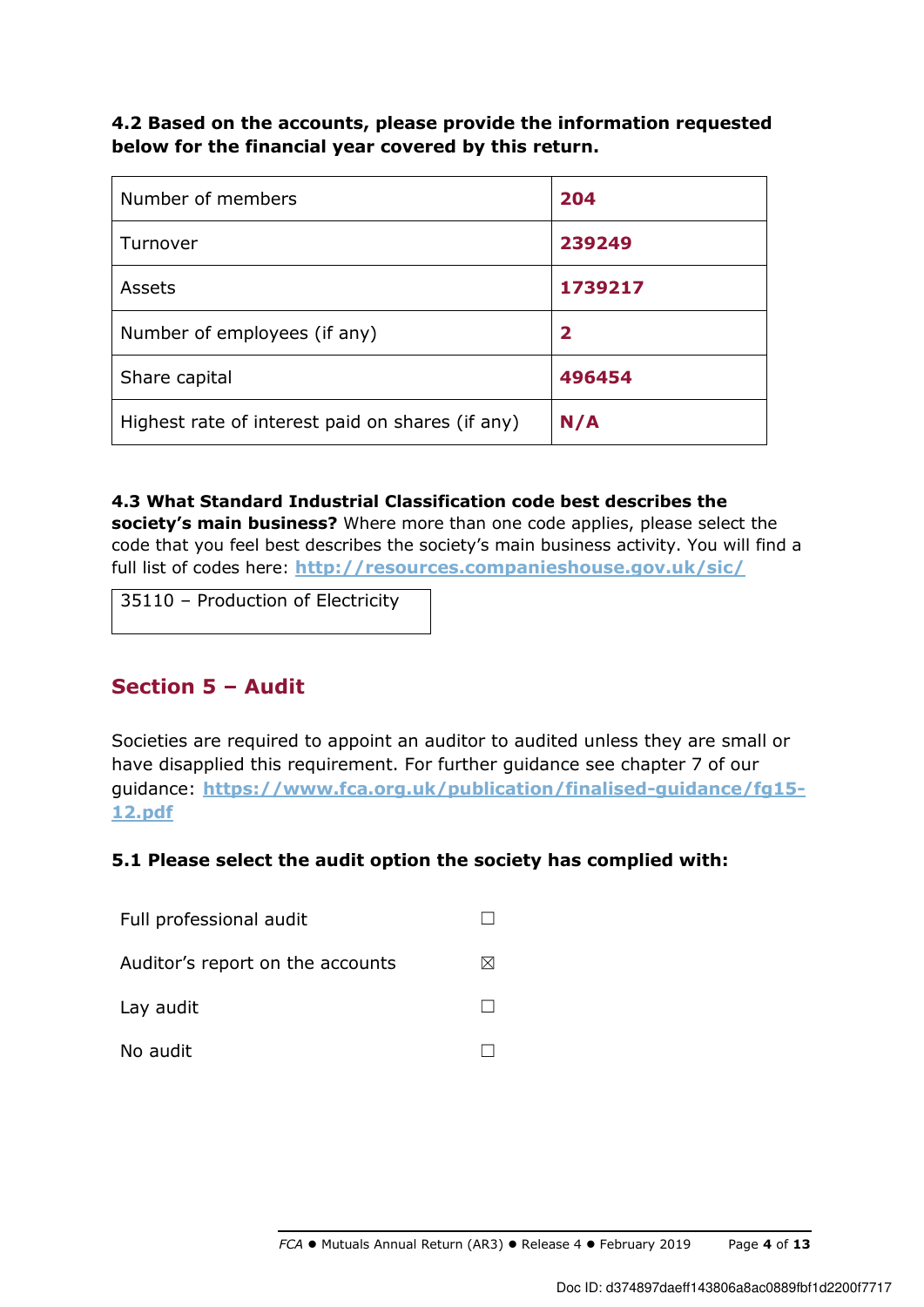**4.2 Based on the accounts, please provide the information requested below for the financial year covered by this return.** 

| Number of members                                | 204          |
|--------------------------------------------------|--------------|
| Turnover                                         | 239249       |
| Assets                                           | 1739217      |
| Number of employees (if any)                     | $\mathbf{2}$ |
| Share capital                                    | 496454       |
| Highest rate of interest paid on shares (if any) | N/A          |

**4.3 What Standard Industrial Classification code best describes the society's main business?** Where more than one code applies, please select the code that you feel best describes the society's main business activity. You will find a full list of codes here: **http://resources.companieshouse.gov.uk/sic/**

35110 – Production of Electricity

## **Section 5 – Audit**

Societies are required to appoint an auditor to audited unless they are small or have disapplied this requirement. For further guidance see chapter 7 of our guidance: **https://www.fca.org.uk/publication/finalised-guidance/fg15- 12.pdf**

### **5.1 Please select the audit option the society has complied with:**

| Full professional audit          |  |
|----------------------------------|--|
| Auditor's report on the accounts |  |
| Lay audit                        |  |
| No audit                         |  |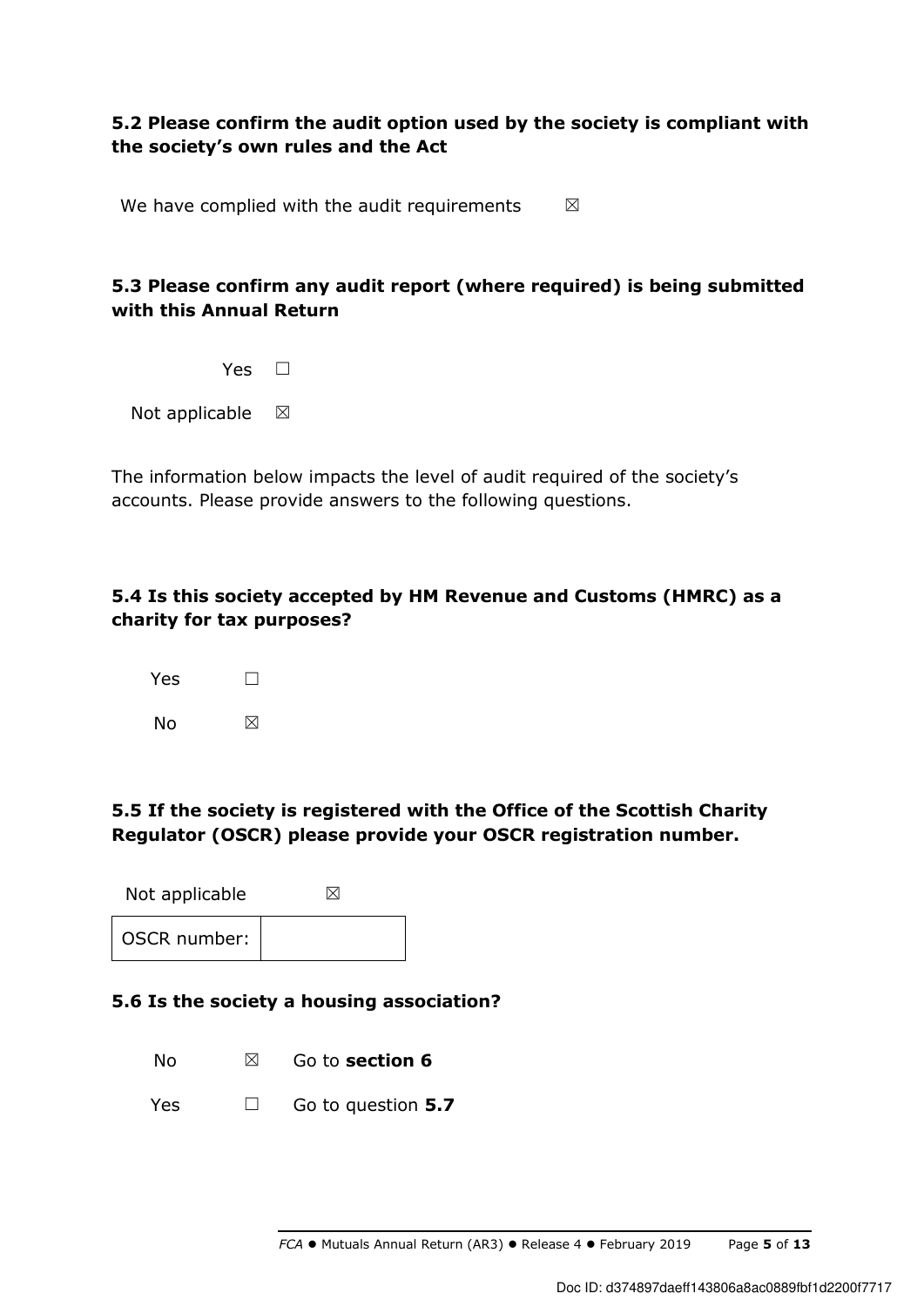## **5.2 Please confirm the audit option used by the society is compliant with the society's own rules and the Act**

We have complied with the audit requirements  $\boxtimes$ 

## **5.3 Please confirm any audit report (where required) is being submitted with this Annual Return**

Not applicable  $\boxtimes$ 

The information below impacts the level of audit required of the society's accounts. Please provide answers to the following questions.

### **5.4 Is this society accepted by HM Revenue and Customs (HMRC) as a charity for tax purposes?**



## **5.5 If the society is registered with the Office of the Scottish Charity Regulator (OSCR) please provide your OSCR registration number.**

Not applicable  $\boxtimes$ OSCR number:

### **5.6 Is the society a housing association?**

No ☒ Go to **section 6**

Yes ☐ Go to question **5.7**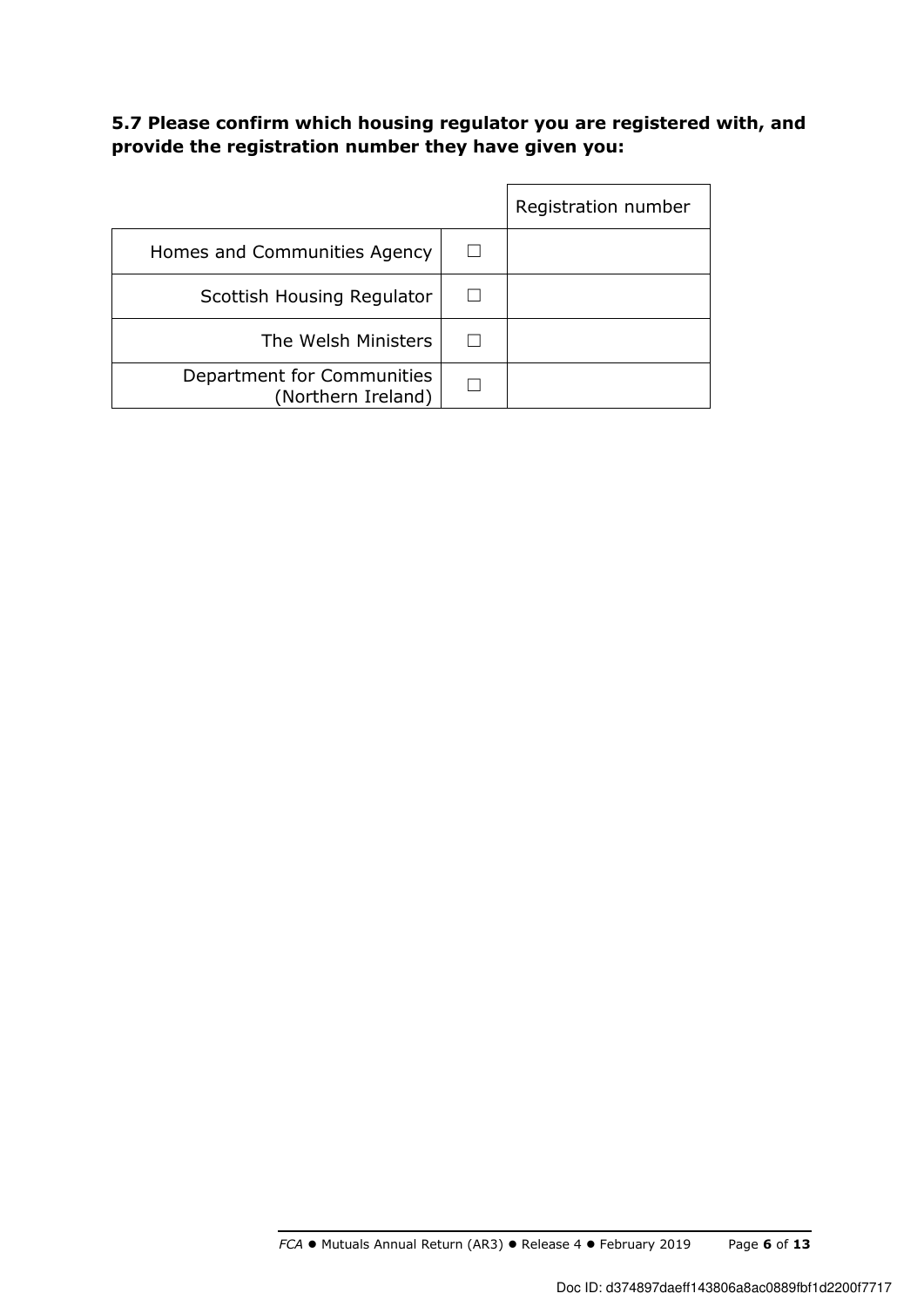## **5.7 Please confirm which housing regulator you are registered with, and provide the registration number they have given you:**

|                                                  | Registration number |
|--------------------------------------------------|---------------------|
| Homes and Communities Agency                     |                     |
| Scottish Housing Regulator                       |                     |
| The Welsh Ministers                              |                     |
| Department for Communities<br>(Northern Ireland) |                     |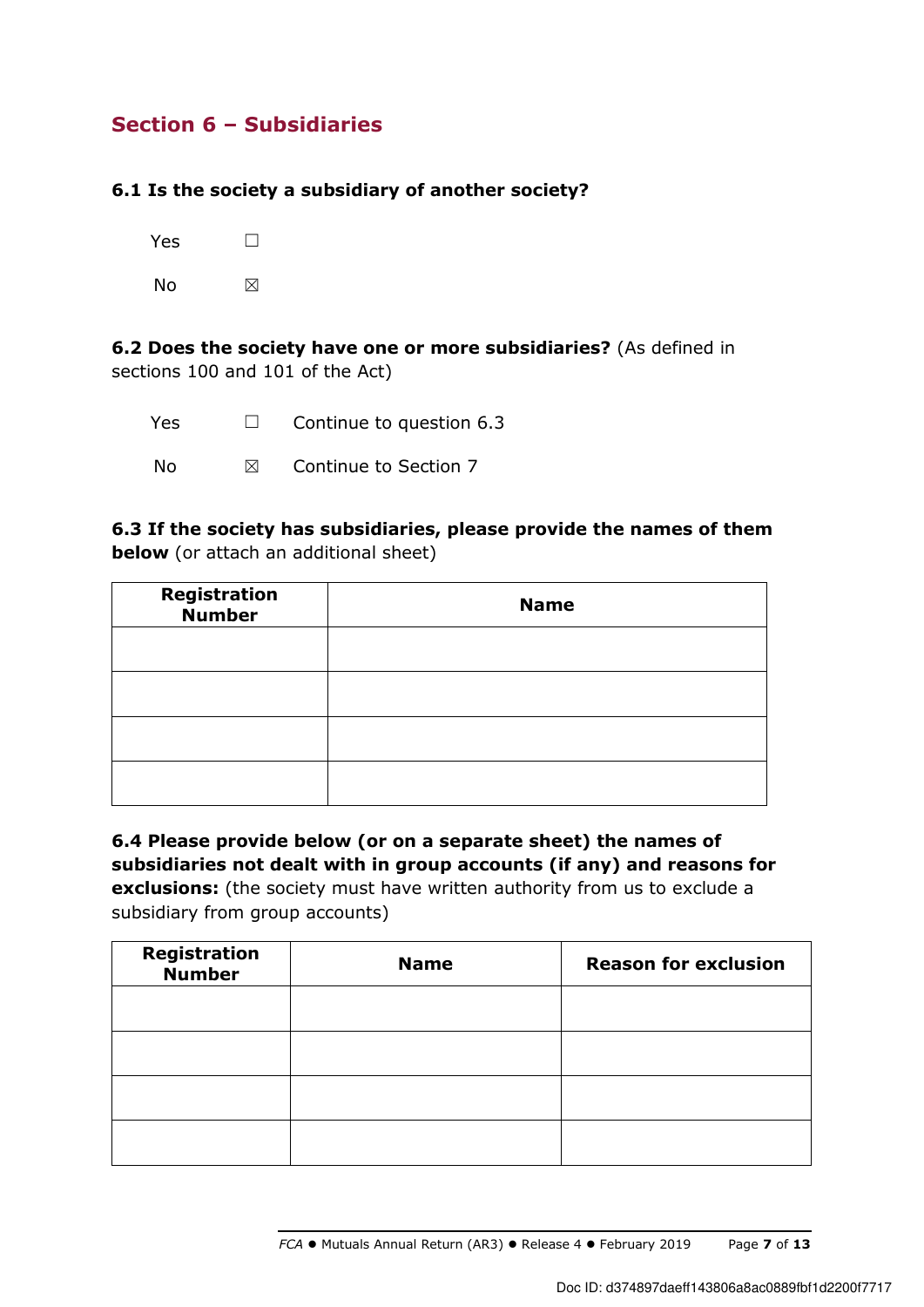# **Section 6 – Subsidiaries**

### **6.1 Is the society a subsidiary of another society?**

| Yes | $\Box$ |
|-----|--------|
| No  | ⊠      |

**6.2 Does the society have one or more subsidiaries?** (As defined in sections 100 and 101 of the Act)

| <b>Yes</b> | $\Box$    | Continue to question 6.3 |
|------------|-----------|--------------------------|
| -No        | $\bowtie$ | Continue to Section 7    |

**6.3 If the society has subsidiaries, please provide the names of them below** (or attach an additional sheet)

| <b>Registration</b><br><b>Number</b> | <b>Name</b> |
|--------------------------------------|-------------|
|                                      |             |
|                                      |             |
|                                      |             |
|                                      |             |

**6.4 Please provide below (or on a separate sheet) the names of subsidiaries not dealt with in group accounts (if any) and reasons for exclusions:** (the society must have written authority from us to exclude a subsidiary from group accounts)

| Registration<br><b>Number</b> | <b>Name</b> | <b>Reason for exclusion</b> |
|-------------------------------|-------------|-----------------------------|
|                               |             |                             |
|                               |             |                             |
|                               |             |                             |
|                               |             |                             |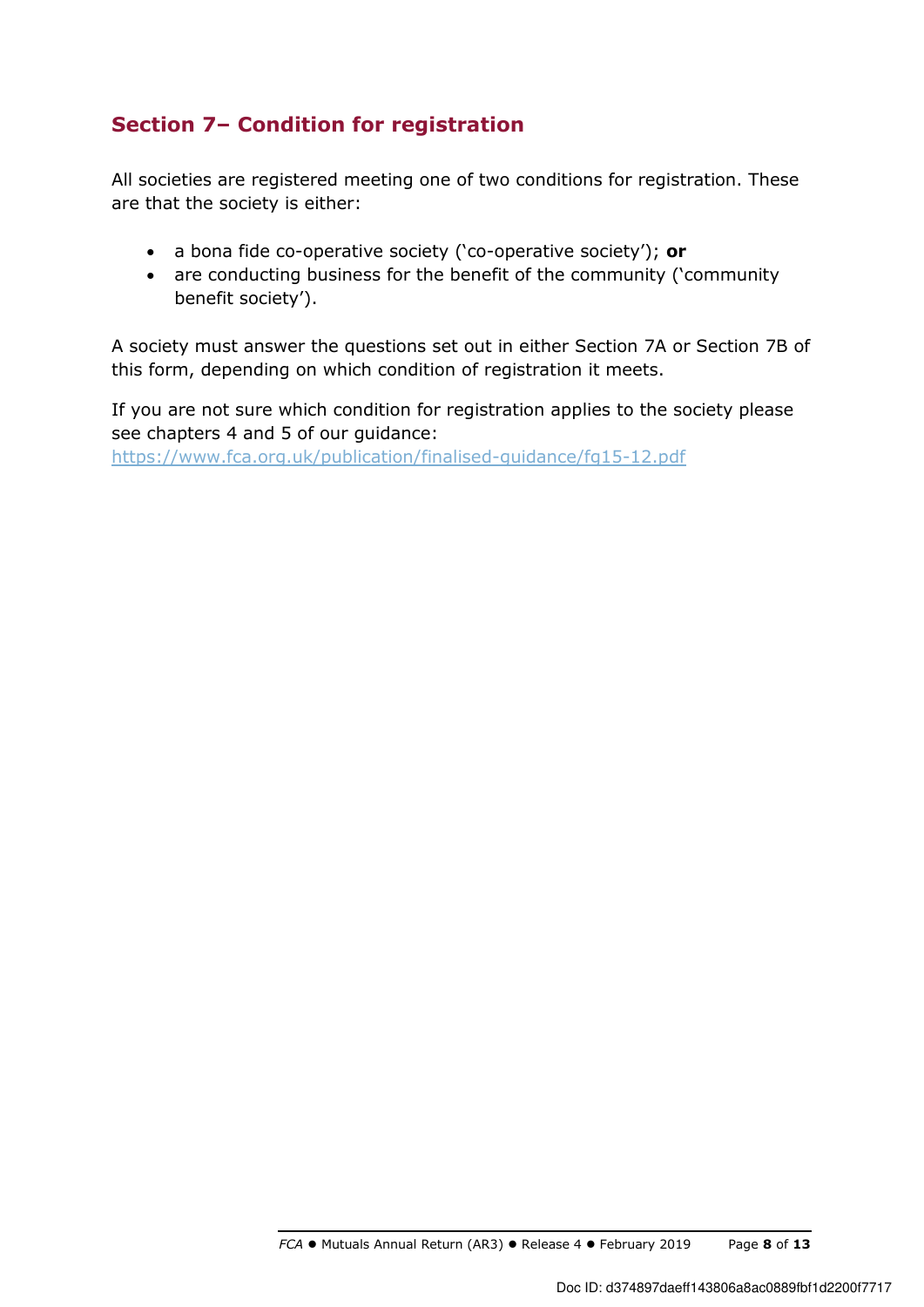# **Section 7– Condition for registration**

All societies are registered meeting one of two conditions for registration. These are that the society is either:

- a bona fide co-operative society ('co-operative society'); **or**
- are conducting business for the benefit of the community ('community benefit society').

A society must answer the questions set out in either Section 7A or Section 7B of this form, depending on which condition of registration it meets.

If you are not sure which condition for registration applies to the society please see chapters 4 and 5 of our guidance: https://www.fca.org.uk/publication/finalised-guidance/fg15-12.pdf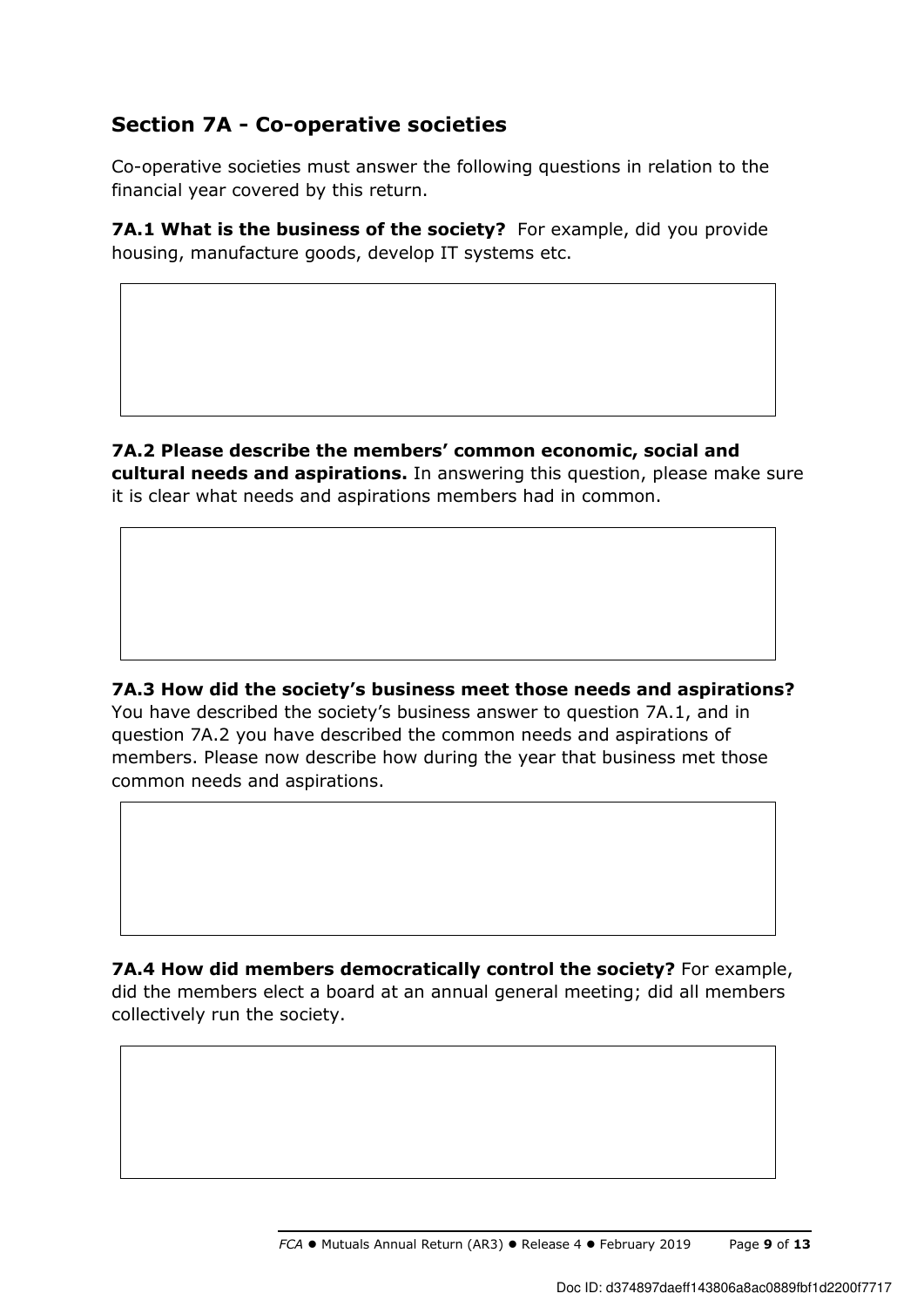# **Section 7A - Co-operative societies**

Co-operative societies must answer the following questions in relation to the financial year covered by this return.

**7A.1 What is the business of the society?** For example, did you provide housing, manufacture goods, develop IT systems etc.

**7A.2 Please describe the members' common economic, social and cultural needs and aspirations.** In answering this question, please make sure it is clear what needs and aspirations members had in common.

**7A.3 How did the society's business meet those needs and aspirations?**  You have described the society's business answer to question 7A.1, and in question 7A.2 you have described the common needs and aspirations of members. Please now describe how during the year that business met those common needs and aspirations.

**7A.4 How did members democratically control the society?** For example, did the members elect a board at an annual general meeting; did all members collectively run the society.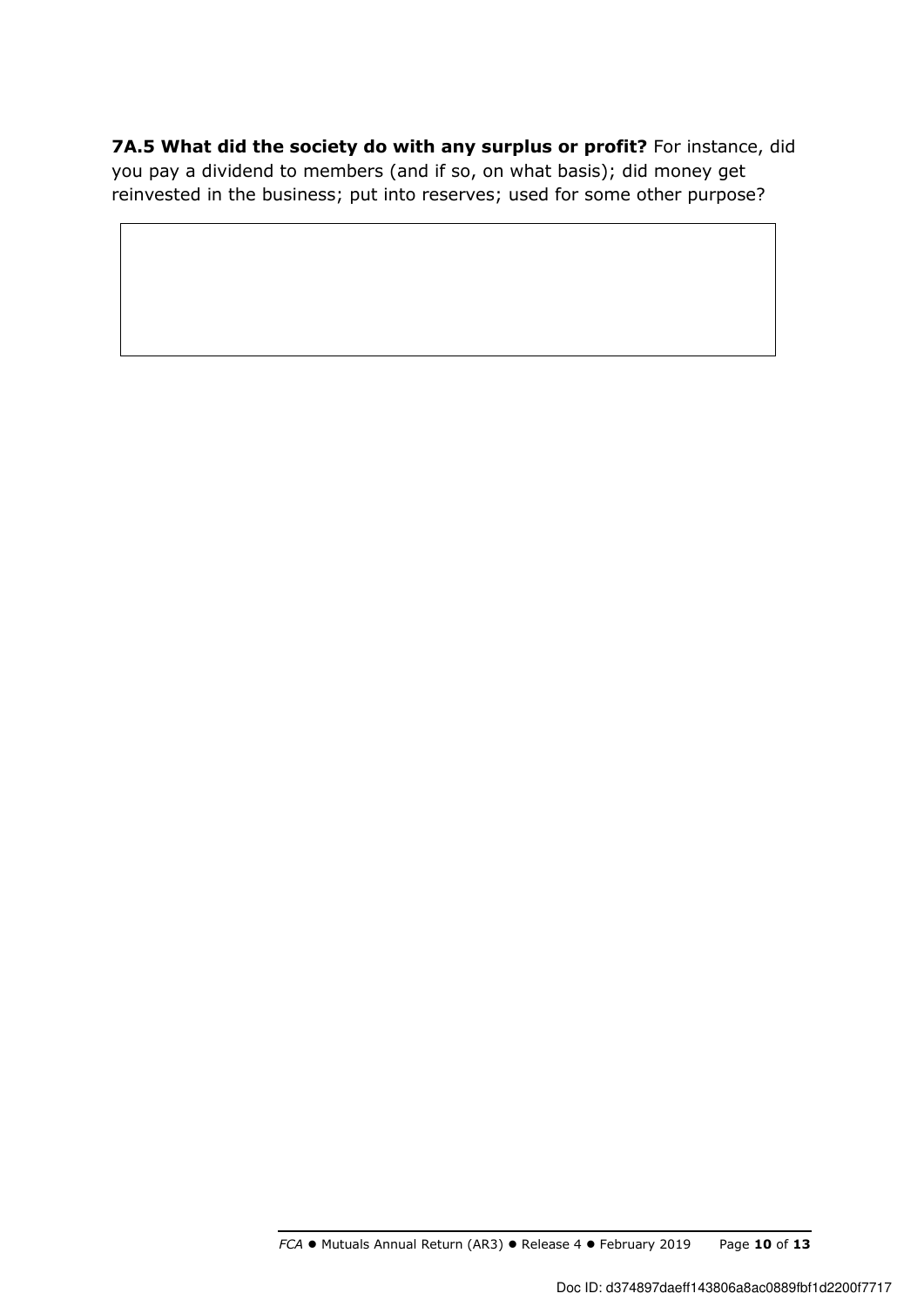**7A.5 What did the society do with any surplus or profit?** For instance, did you pay a dividend to members (and if so, on what basis); did money get reinvested in the business; put into reserves; used for some other purpose?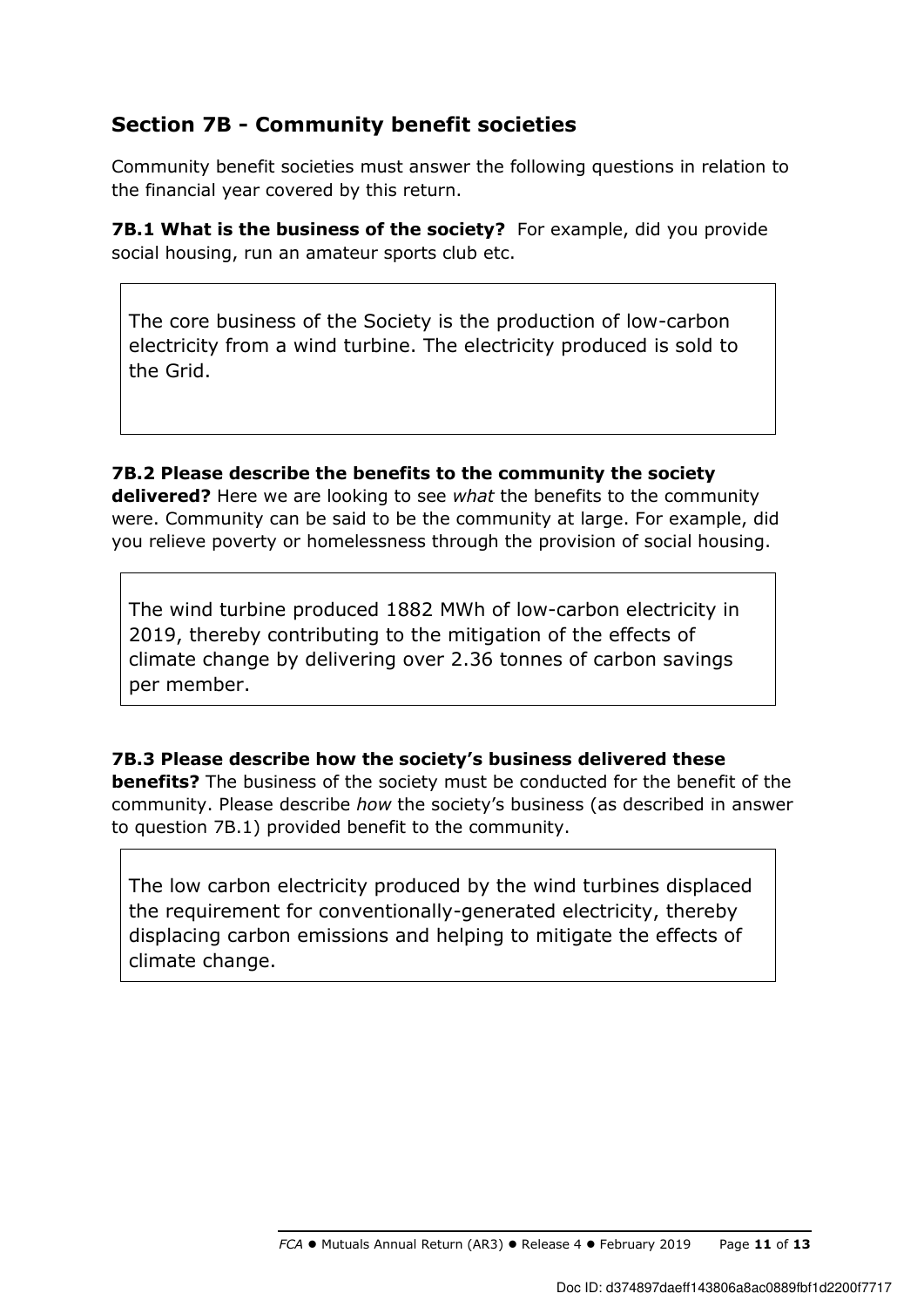# **Section 7B - Community benefit societies**

Community benefit societies must answer the following questions in relation to the financial year covered by this return.

**7B.1 What is the business of the society?** For example, did you provide social housing, run an amateur sports club etc.

The core business of the Society is the production of low-carbon electricity from a wind turbine. The electricity produced is sold to the Grid.

**7B.2 Please describe the benefits to the community the society delivered?** Here we are looking to see *what* the benefits to the community were. Community can be said to be the community at large. For example, did you relieve poverty or homelessness through the provision of social housing.

The wind turbine produced 1882 MWh of low-carbon electricity in 2019, thereby contributing to the mitigation of the effects of climate change by delivering over 2.36 tonnes of carbon savings per member.

**7B.3 Please describe how the society's business delivered these benefits?** The business of the society must be conducted for the benefit of the community. Please describe *how* the society's business (as described in answer to question 7B.1) provided benefit to the community.

The low carbon electricity produced by the wind turbines displaced the requirement for conventionally-generated electricity, thereby displacing carbon emissions and helping to mitigate the effects of climate change.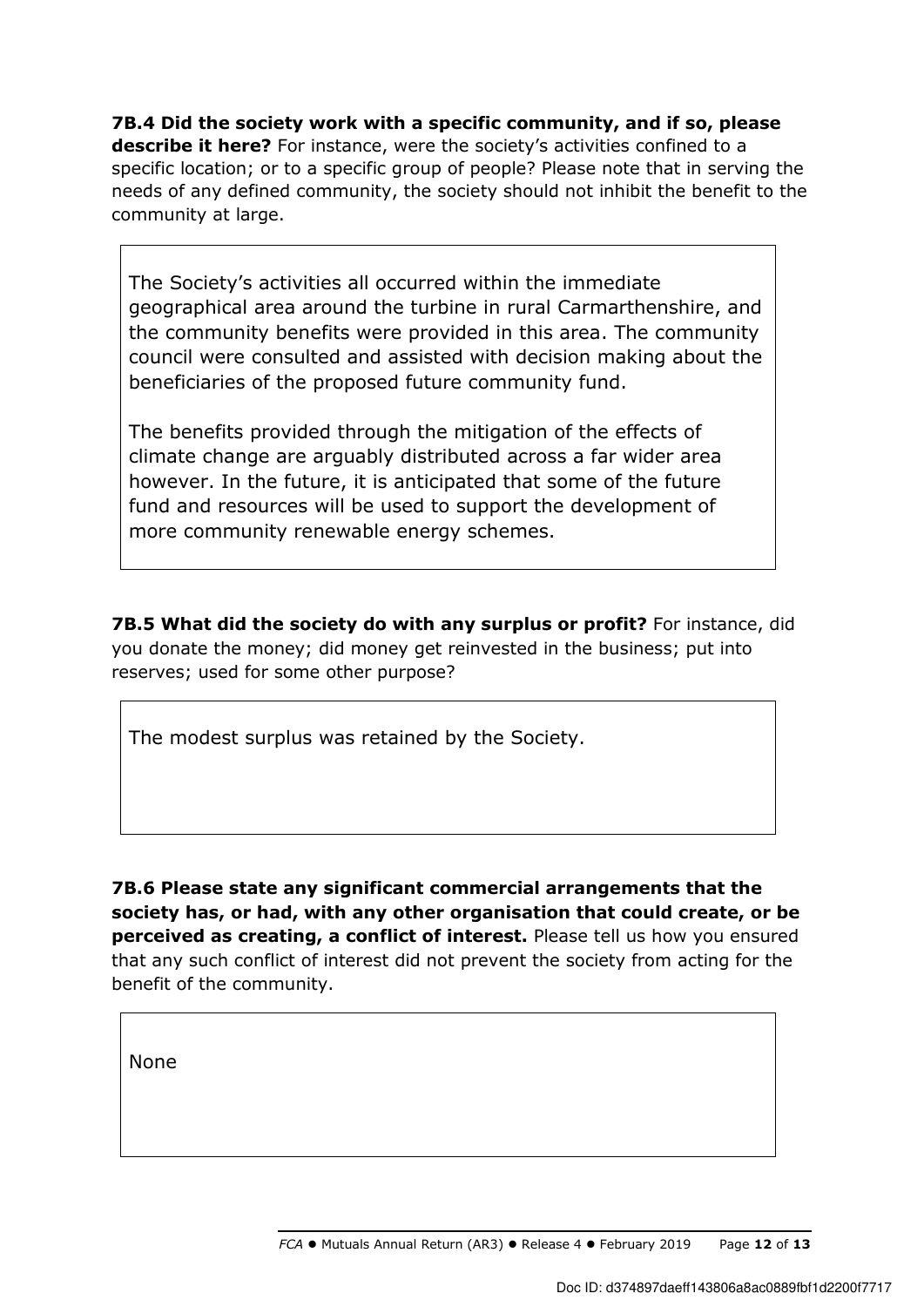**7B.4 Did the society work with a specific community, and if so, please describe it here?** For instance, were the society's activities confined to a specific location; or to a specific group of people? Please note that in serving the needs of any defined community, the society should not inhibit the benefit to the community at large.

The Society's activities all occurred within the immediate geographical area around the turbine in rural Carmarthenshire, and the community benefits were provided in this area. The community council were consulted and assisted with decision making about the beneficiaries of the proposed future community fund.

The benefits provided through the mitigation of the effects of climate change are arguably distributed across a far wider area however. In the future, it is anticipated that some of the future fund and resources will be used to support the development of more community renewable energy schemes.

**7B.5 What did the society do with any surplus or profit?** For instance, did you donate the money; did money get reinvested in the business; put into reserves; used for some other purpose?

The modest surplus was retained by the Society.

**7B.6 Please state any significant commercial arrangements that the society has, or had, with any other organisation that could create, or be perceived as creating, a conflict of interest.** Please tell us how you ensured that any such conflict of interest did not prevent the society from acting for the benefit of the community.

None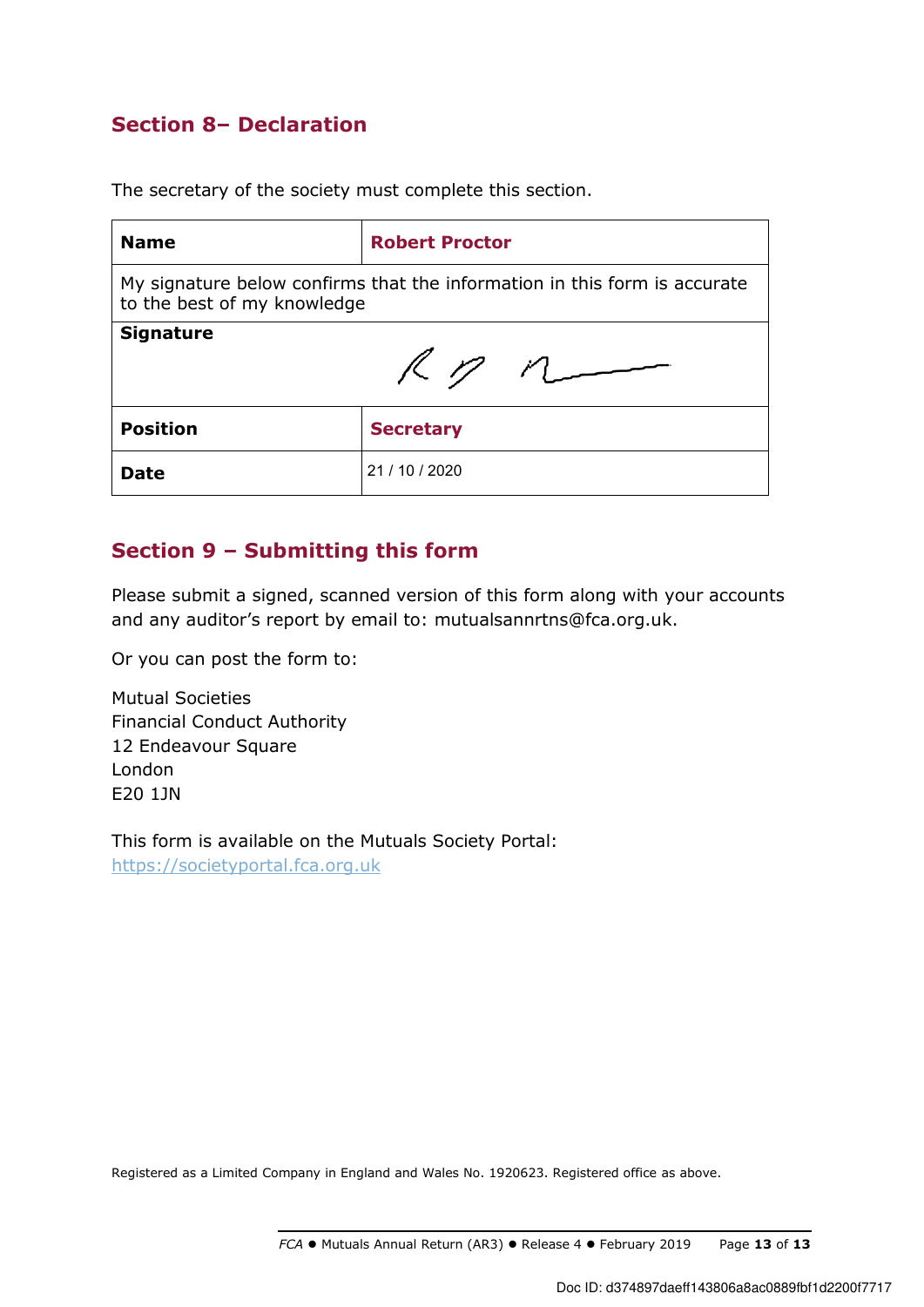# **Section 8– Declaration**

The secretary of the society must complete this section.

| <b>Name</b>                                                                                              | <b>Robert Proctor</b> |  |
|----------------------------------------------------------------------------------------------------------|-----------------------|--|
| My signature below confirms that the information in this form is accurate<br>to the best of my knowledge |                       |  |
| <b>Signature</b><br>$R$ $n$                                                                              |                       |  |
| <b>Position</b>                                                                                          | <b>Secretary</b>      |  |
| Date                                                                                                     | 21 / 10 / 2020        |  |

# **Section 9 – Submitting this form**

Please submit a signed, scanned version of this form along with your accounts and any auditor's report by email to: mutualsannrtns@fca.org.uk.

Or you can post the form to:

Mutual Societies Financial Conduct Authority 12 Endeavour Square London E20 1JN

This form is available on the Mutuals Society Portal: https://societyportal.fca.org.uk

Registered as a Limited Company in England and Wales No. 1920623. Registered office as above.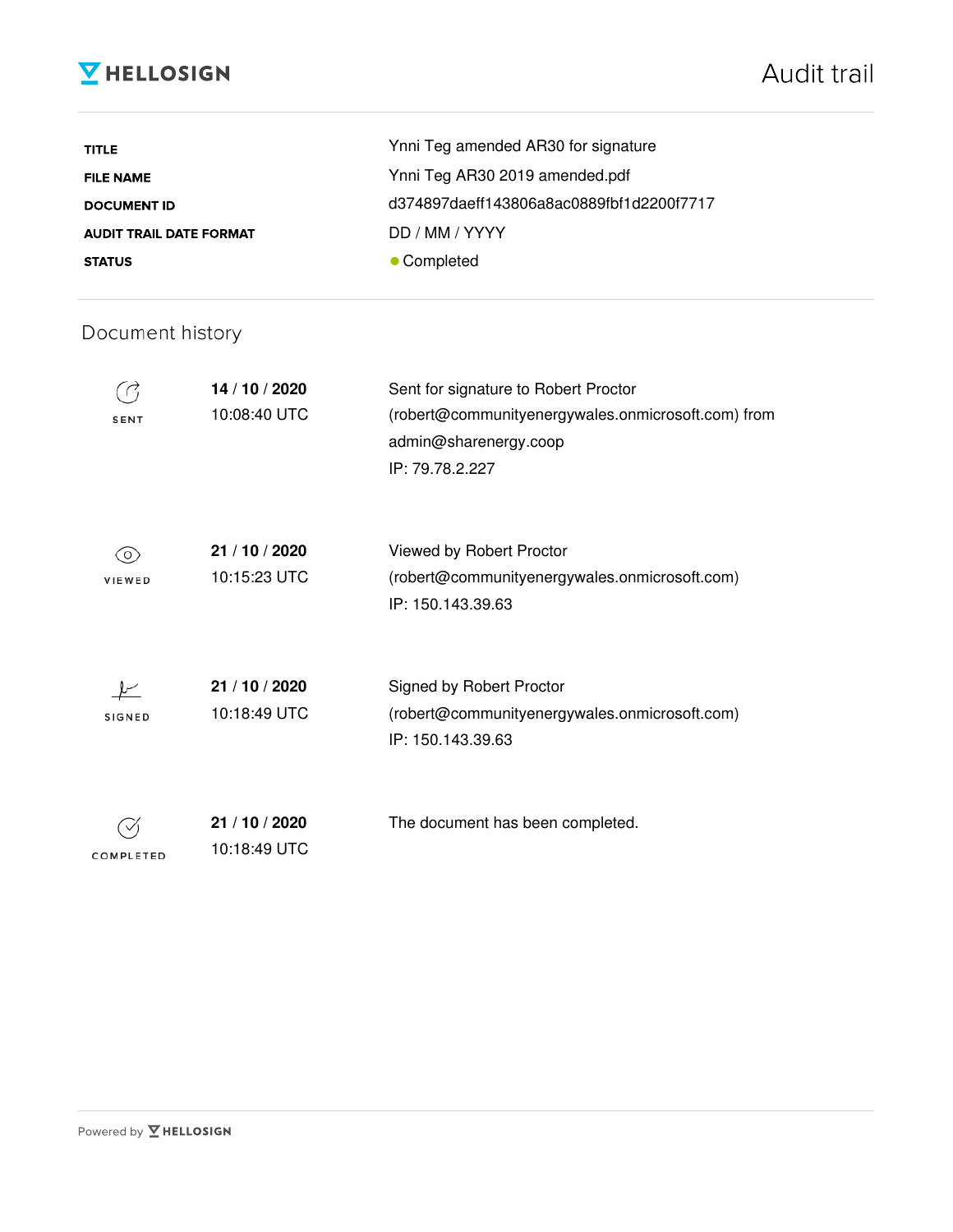# **V** HELLOSIGN

| <b>TITLE</b>                   | Ynni Teg amended AR30 for signature      |
|--------------------------------|------------------------------------------|
| <b>FILE NAME</b>               | Ynni Teg AR30 2019 amended.pdf           |
| <b>DOCUMENT ID</b>             | d374897daeff143806a8ac0889fbf1d2200f7717 |
| <b>AUDIT TRAIL DATE FORMAT</b> | DD / MM / YYYY                           |
| <b>STATUS</b>                  | • Completed                              |

# Document history

| <b>SENT</b>   | 14 / 10 / 2020<br>10:08:40 UTC | Sent for signature to Robert Proctor<br>(robert@communityenergywales.onmicrosoft.com) from<br>admin@sharenergy.coop<br>IP: 79.78.2.227 |
|---------------|--------------------------------|----------------------------------------------------------------------------------------------------------------------------------------|
| 0)<br>VIEWED  | 21 / 10 / 2020<br>10:15:23 UTC | Viewed by Robert Proctor<br>(robert@communityenergywales.onmicrosoft.com)<br>IP: 150.143.39.63                                         |
| <b>SIGNED</b> | 21 / 10 / 2020<br>10:18:49 UTC | Signed by Robert Proctor<br>(robert@communityenergywales.onmicrosoft.com)<br>IP: 150.143.39.63                                         |
| COMPLETED     | 21 / 10 / 2020<br>10:18:49 UTC | The document has been completed.                                                                                                       |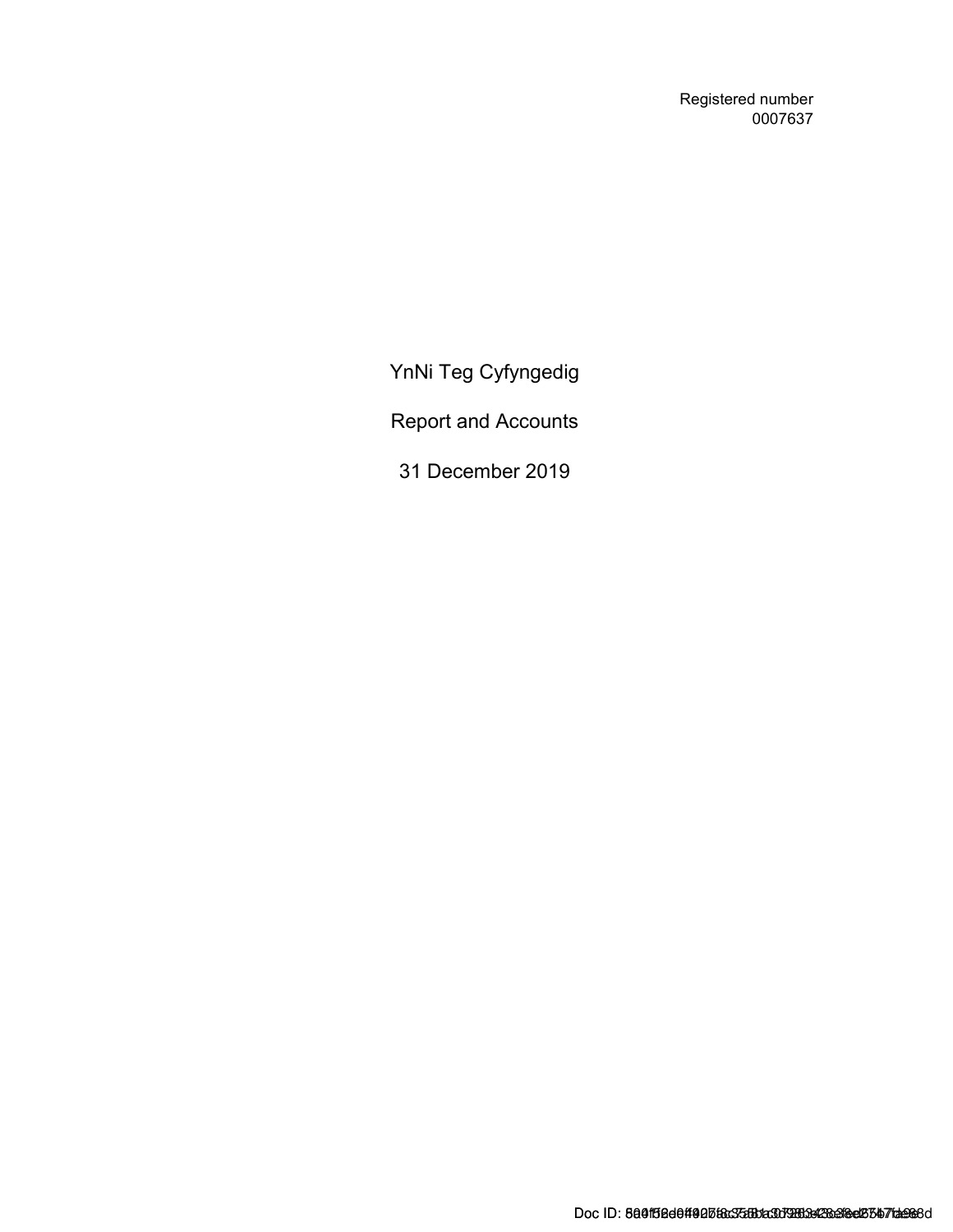Registered number 0007637

YnNi Teg Cyfyngedig

Report and Accounts

31 December 2019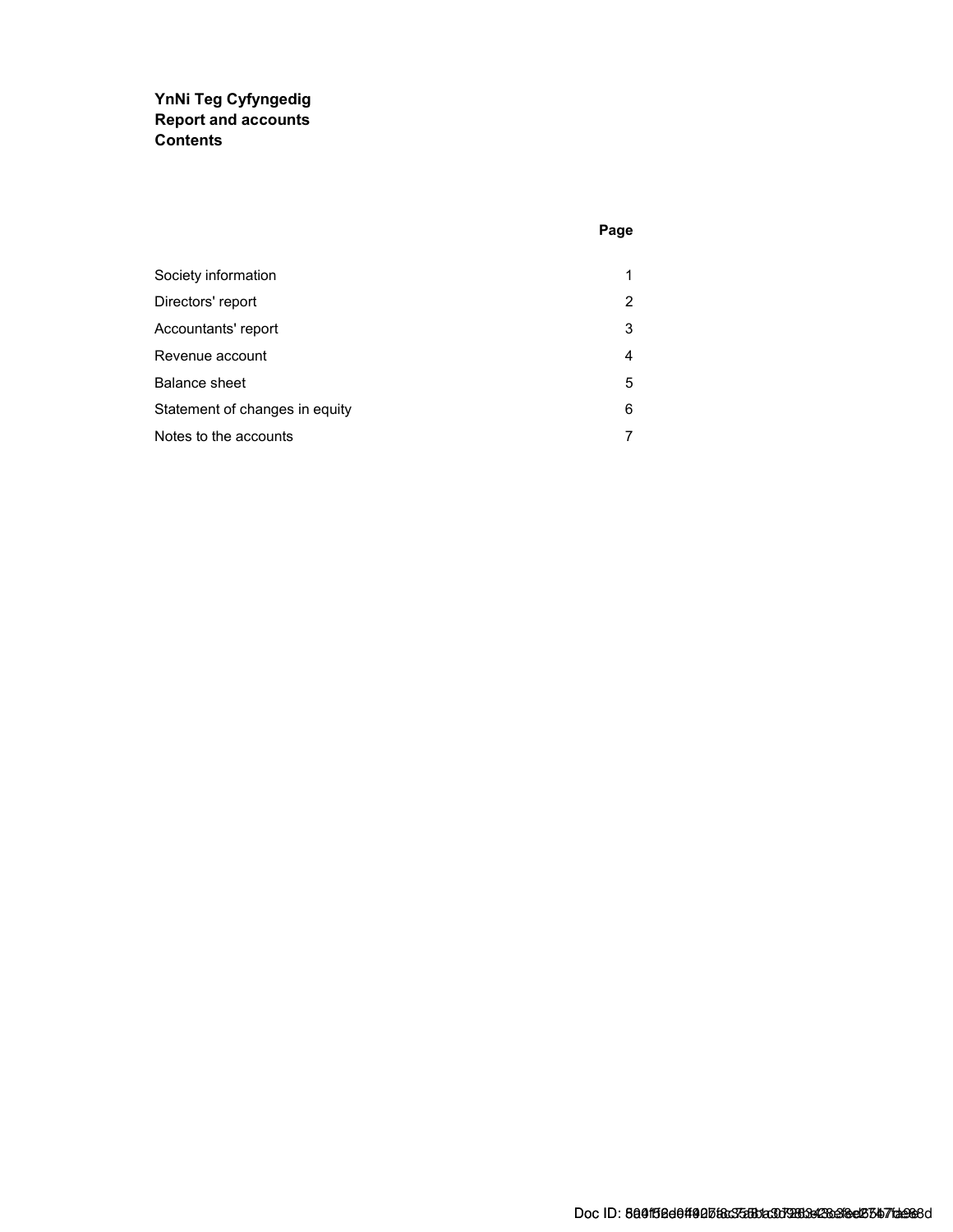### YnNi Teg Cyfyngedig Report and accounts **Contents**

| Society information            | 1              |
|--------------------------------|----------------|
| Directors' report              | $\overline{2}$ |
| Accountants' report            | 3              |
| Revenue account                | 4              |
| Balance sheet                  | 5              |
| Statement of changes in equity | 6              |
| Notes to the accounts          | 7              |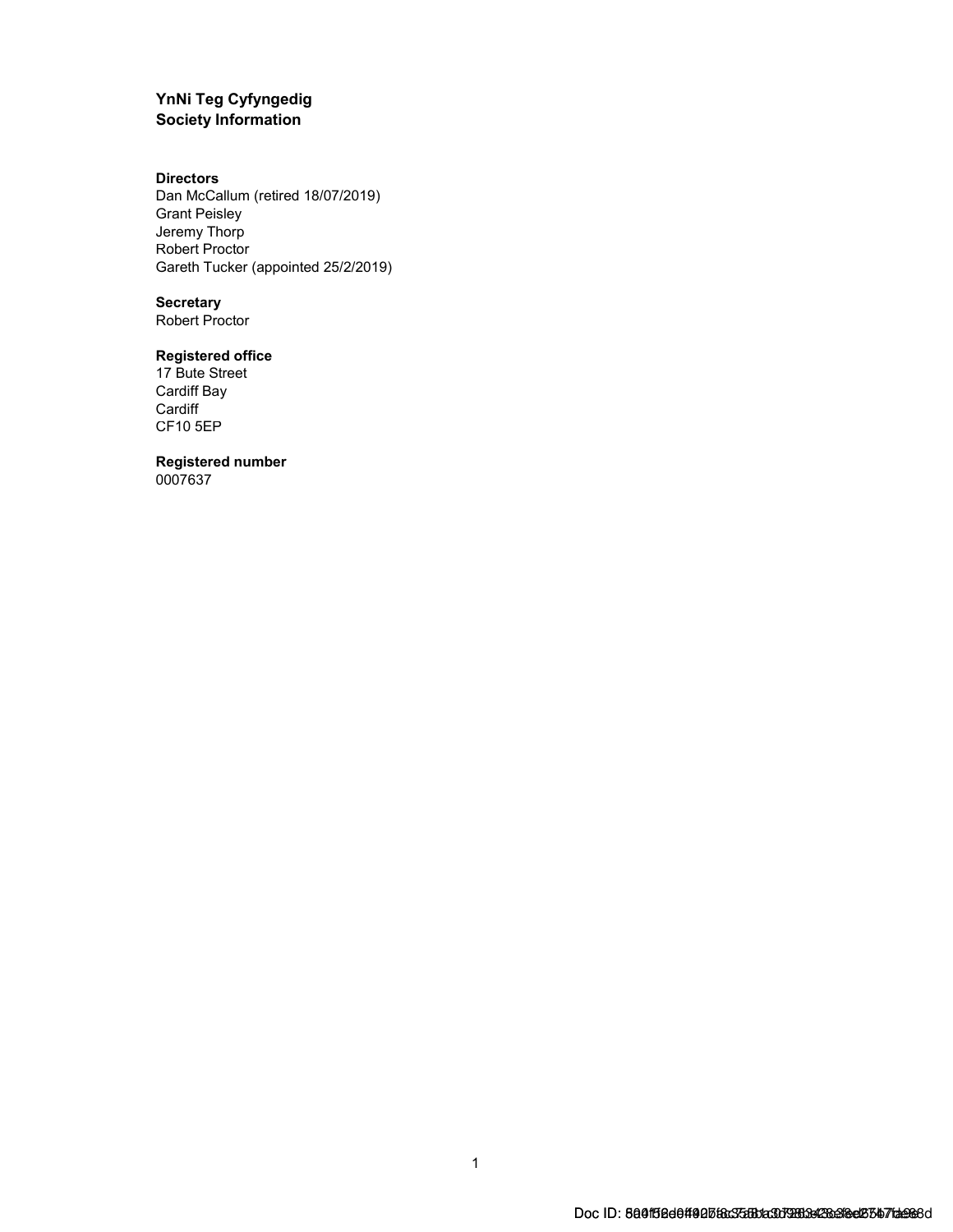### YnNi Teg Cyfyngedig Society Information

#### **Directors**

Dan McCallum (retired 18/07/2019) Grant Peisley Jeremy Thorp Robert Proctor Gareth Tucker (appointed 25/2/2019)

#### **Secretary**

Robert Proctor

### Registered office

17 Bute Street Cardiff Bay **Cardiff** CF10 5EP

#### Registered number

0007637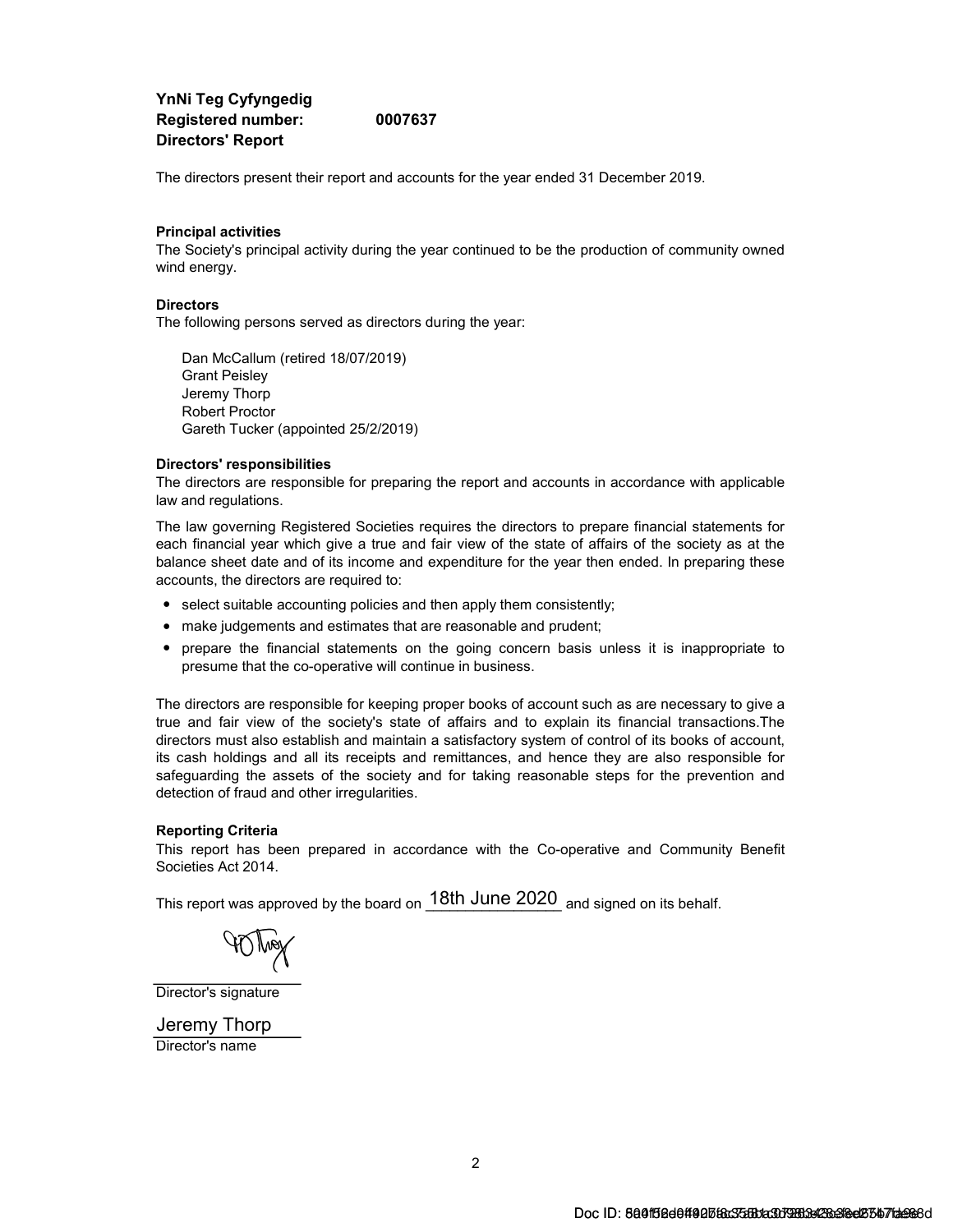YnNi Teg Cyfyngedig Registered number: 0007637 Directors' Report

The directors present their report and accounts for the year ended 31 December 2019.

#### Principal activities

The Society's principal activity during the year continued to be the production of community owned wind energy.

#### **Directors**

The following persons served as directors during the year:

Dan McCallum (retired 18/07/2019) Grant Peisley Jeremy Thorp Robert Proctor Gareth Tucker (appointed 25/2/2019)

#### Directors' responsibilities

The directors are responsible for preparing the report and accounts in accordance with applicable law and regulations.

The law governing Registered Societies requires the directors to prepare financial statements for each financial year which give a true and fair view of the state of affairs of the society as at the balance sheet date and of its income and expenditure for the year then ended. In preparing these accounts, the directors are required to:

- select suitable accounting policies and then apply them consistently;
- make judgements and estimates that are reasonable and prudent;
- prepare the financial statements on the going concern basis unless it is inappropriate to presume that the co-operative will continue in business.

The directors are responsible for keeping proper books of account such as are necessary to give a true and fair view of the society's state of affairs and to explain its financial transactions.The directors must also establish and maintain a satisfactory system of control of its books of account, its cash holdings and all its receipts and remittances, and hence they are also responsible for safeguarding the assets of the society and for taking reasonable steps for the prevention and detection of fraud and other irregularities.

#### Reporting Criteria

This report has been prepared in accordance with the Co-operative and Community Benefit Societies Act 2014.

This report was approved by the board on  $18\mathrm{th}$  June  $2020_\parallel$  and signed on its behalf.

Director's signature

Director's name Jeremy Thorp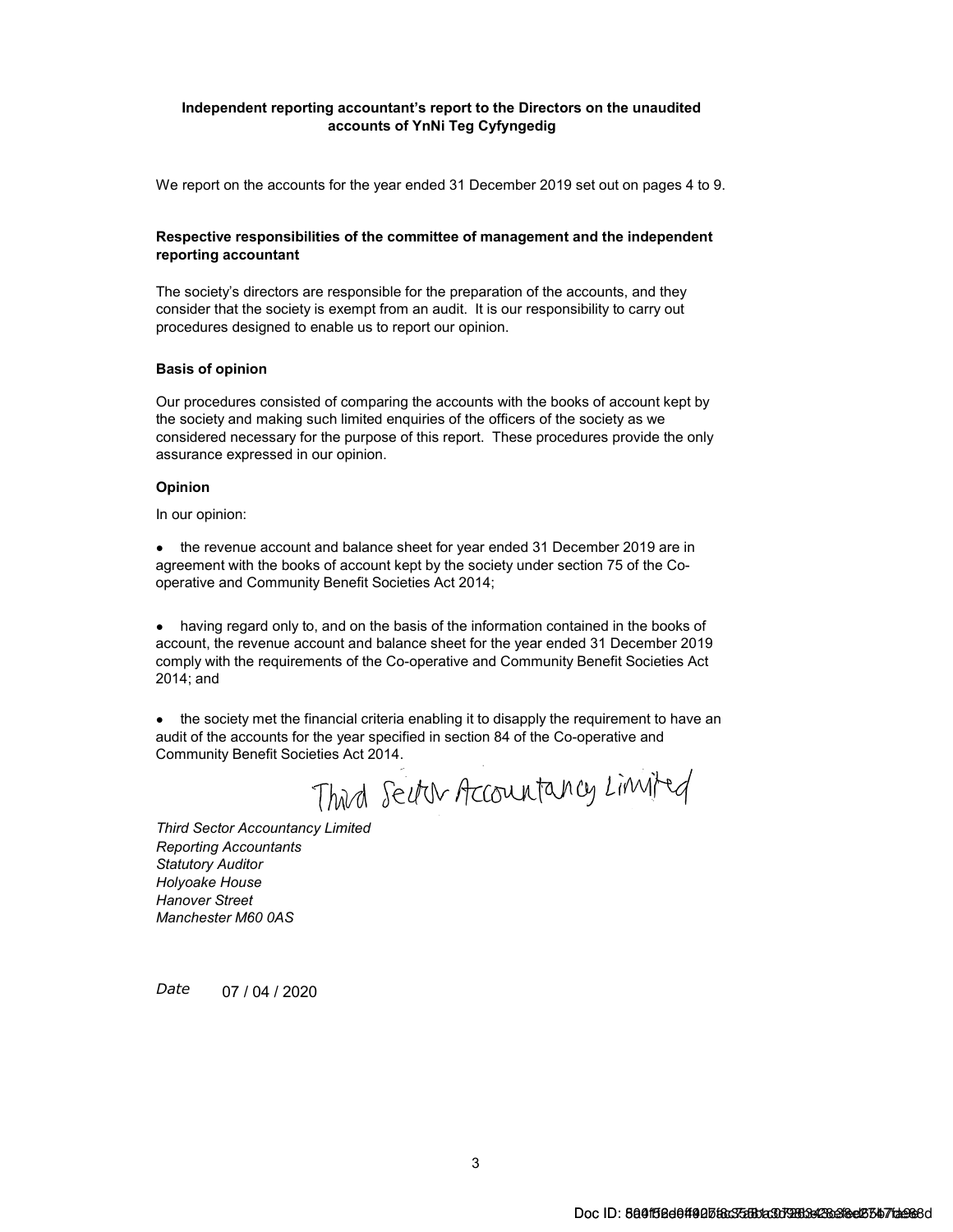#### Independent reporting accountant's report to the Directors on the unaudited accounts of YnNi Teg Cyfyngedig

We report on the accounts for the year ended 31 December 2019 set out on pages 4 to 9.

#### Respective responsibilities of the committee of management and the independent reporting accountant

The society's directors are responsible for the preparation of the accounts, and they consider that the society is exempt from an audit. It is our responsibility to carry out procedures designed to enable us to report our opinion.

#### Basis of opinion

Our procedures consisted of comparing the accounts with the books of account kept by the society and making such limited enquiries of the officers of the society as we considered necessary for the purpose of this report. These procedures provide the only assurance expressed in our opinion.

#### Opinion

In our opinion:

● the revenue account and balance sheet for year ended 31 December 2019 are in agreement with the books of account kept by the society under section 75 of the Cooperative and Community Benefit Societies Act 2014;

• having regard only to, and on the basis of the information contained in the books of account, the revenue account and balance sheet for the year ended 31 December 2019 comply with the requirements of the Co-operative and Community Benefit Societies Act 2014; and

• the society met the financial criteria enabling it to disapply the requirement to have an audit of the accounts for the year specified in section 84 of the Co-operative and Community Benefit Societies Act 2014.

Third Sector Accountancy Limited

Reporting Accountants Statutory Auditor Holyoake House Hanover Street Manchester M60 0AS Third Sector Accountancy Limited

Date 07 / 04 / 2020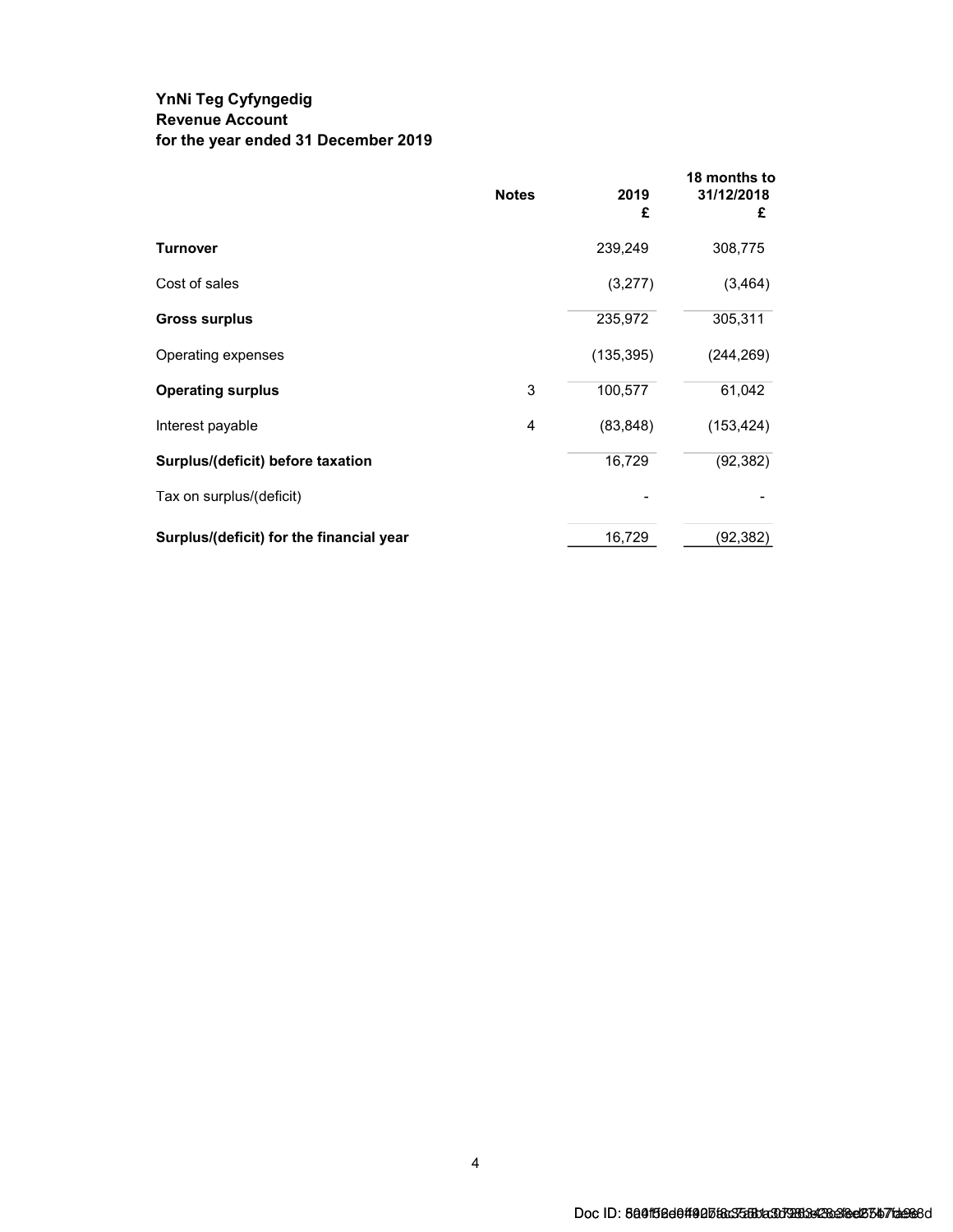### YnNi Teg Cyfyngedig Revenue Account for the year ended 31 December 2019

|                                          | <b>Notes</b> | 2019<br>£  | 18 months to<br>31/12/2018<br>£ |
|------------------------------------------|--------------|------------|---------------------------------|
| Turnover                                 |              | 239,249    | 308,775                         |
| Cost of sales                            |              | (3,277)    | (3, 464)                        |
| <b>Gross surplus</b>                     |              | 235,972    | 305,311                         |
| Operating expenses                       |              | (135, 395) | (244, 269)                      |
| <b>Operating surplus</b>                 | 3            | 100,577    | 61,042                          |
| Interest payable                         | 4            | (83, 848)  | (153, 424)                      |
| Surplus/(deficit) before taxation        |              | 16,729     | (92, 382)                       |
| Tax on surplus/(deficit)                 |              |            |                                 |
| Surplus/(deficit) for the financial year |              | 16,729     | (92,382)                        |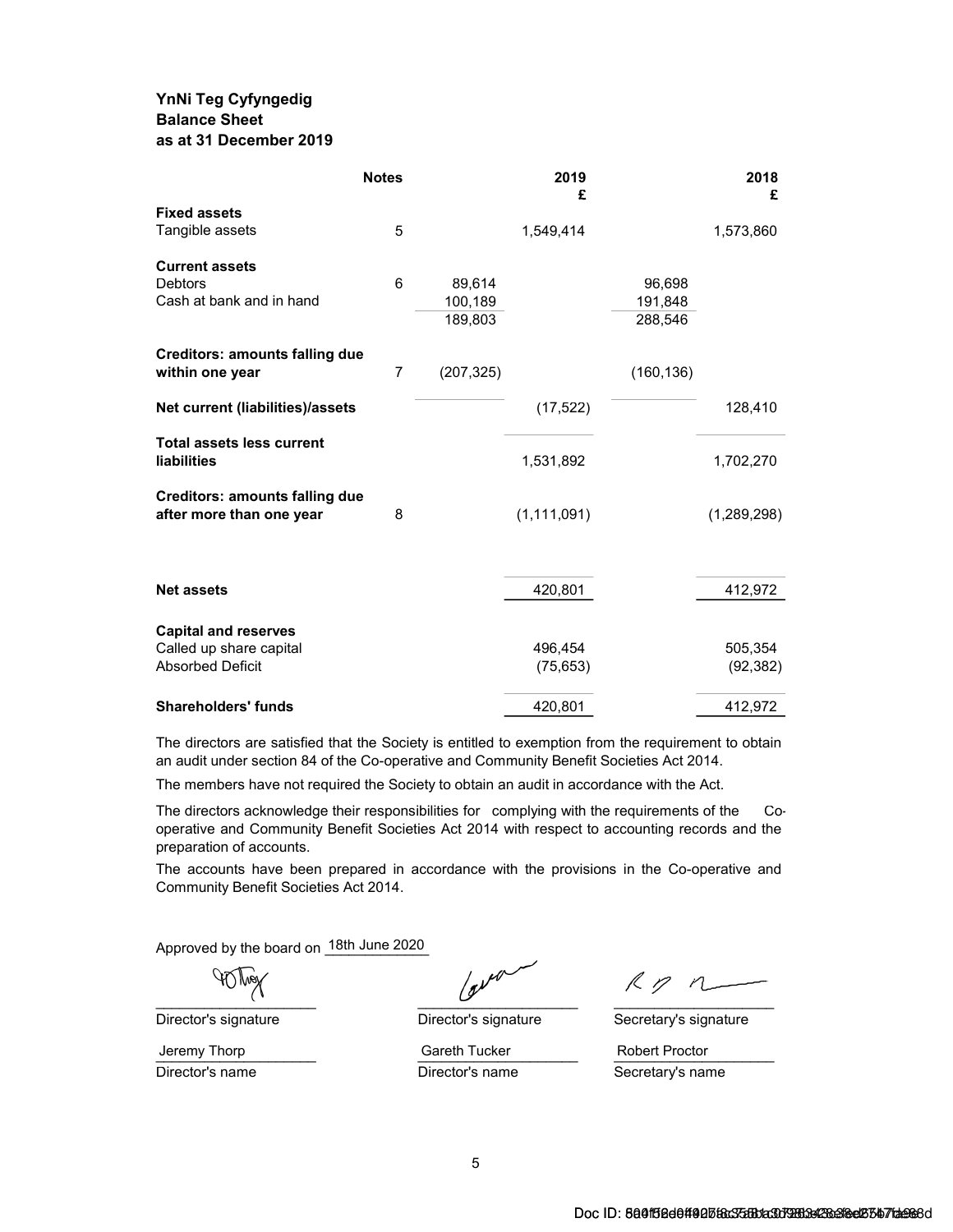### YnNi Teg Cyfyngedig Balance Sheet as at 31 December 2019

|                                                                   | <b>Notes</b>   |            | 2019<br>£     |            | 2018<br>£   |
|-------------------------------------------------------------------|----------------|------------|---------------|------------|-------------|
| <b>Fixed assets</b>                                               |                |            |               |            |             |
| Tangible assets                                                   | 5              |            | 1,549,414     |            | 1,573,860   |
| <b>Current assets</b>                                             |                |            |               |            |             |
| <b>Debtors</b>                                                    | 6              | 89,614     |               | 96,698     |             |
| Cash at bank and in hand                                          |                | 100,189    |               | 191,848    |             |
|                                                                   |                | 189,803    |               | 288,546    |             |
| <b>Creditors: amounts falling due</b>                             |                |            |               |            |             |
| within one year                                                   | $\overline{7}$ | (207, 325) |               | (160, 136) |             |
| Net current (liabilities)/assets                                  |                |            | (17, 522)     |            | 128,410     |
| <b>Total assets less current</b><br><b>liabilities</b>            |                |            | 1,531,892     |            | 1,702,270   |
|                                                                   |                |            |               |            |             |
| <b>Creditors: amounts falling due</b><br>after more than one year | 8              |            | (1, 111, 091) |            | (1,289,298) |
|                                                                   |                |            |               |            |             |
|                                                                   |                |            |               |            |             |
| <b>Net assets</b>                                                 |                |            | 420,801       |            | 412,972     |
| <b>Capital and reserves</b>                                       |                |            |               |            |             |
| Called up share capital                                           |                |            | 496,454       |            | 505,354     |
| <b>Absorbed Deficit</b>                                           |                |            | (75, 653)     |            | (92, 382)   |
| <b>Shareholders' funds</b>                                        |                |            | 420,801       |            | 412,972     |

The directors are satisfied that the Society is entitled to exemption from the requirement to obtain an audit under section 84 of the Co-operative and Community Benefit Societies Act 2014.

The members have not required the Society to obtain an audit in accordance with the Act.

The directors acknowledge their responsibilities for complying with the requirements of the Cooperative and Community Benefit Societies Act 2014 with respect to accounting records and the preparation of accounts.

The accounts have been prepared in accordance with the provisions in the Co-operative and Community Benefit Societies Act 2014.

Approved by the board on 18th June 2020

 $\overline{C}$  , and the contract of  $\overline{C}$  , and  $\overline{C}$  , and  $\overline{C}$  , and  $\overline{C}$  , and  $\overline{C}$  , and  $\overline{C}$  , and  $\overline{C}$  , and  $\overline{C}$  , and  $\overline{C}$  , and  $\overline{C}$  , and  $\overline{C}$  , and  $\overline{C}$  , and  $\overline{C}$  ,

Director's signature Director's signature Secretary's signature

Jeremy Thorp **Gareth Tucker** Gareth Tucker Robert Proctor

Director's name **Director's name** Secretary's name

 $R$   $p$   $n$ 

Jeremy Thorp **Example 2** Gareth Tucker **Example 2** Robert Proctor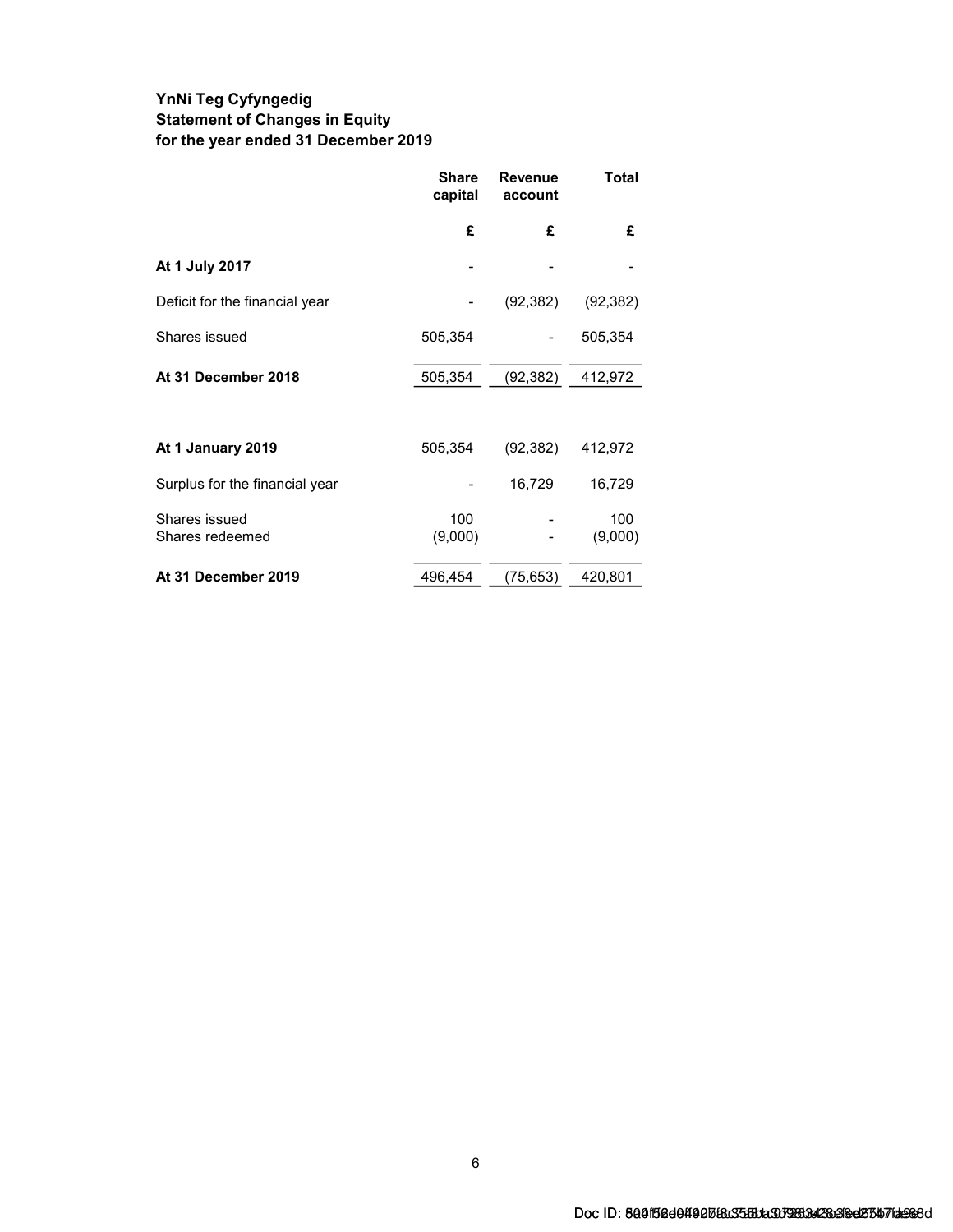### YnNi Teg Cyfyngedig Statement of Changes in Equity for the year ended 31 December 2019

|                                  | <b>Share</b><br>capital | Revenue<br>account | Total          |
|----------------------------------|-------------------------|--------------------|----------------|
|                                  | £                       | £                  | £              |
| At 1 July 2017                   |                         |                    |                |
| Deficit for the financial year   |                         | (92, 382)          | (92, 382)      |
| Shares issued                    | 505,354                 |                    | 505,354        |
| At 31 December 2018              | 505,354                 | (92, 382)          | 412,972        |
|                                  |                         |                    |                |
| At 1 January 2019                | 505,354                 | (92, 382)          | 412,972        |
| Surplus for the financial year   |                         | 16,729             | 16,729         |
| Shares issued<br>Shares redeemed | 100<br>(9,000)          |                    | 100<br>(9,000) |
| At 31 December 2019              | 496,454                 | (75,653)           | 420,801        |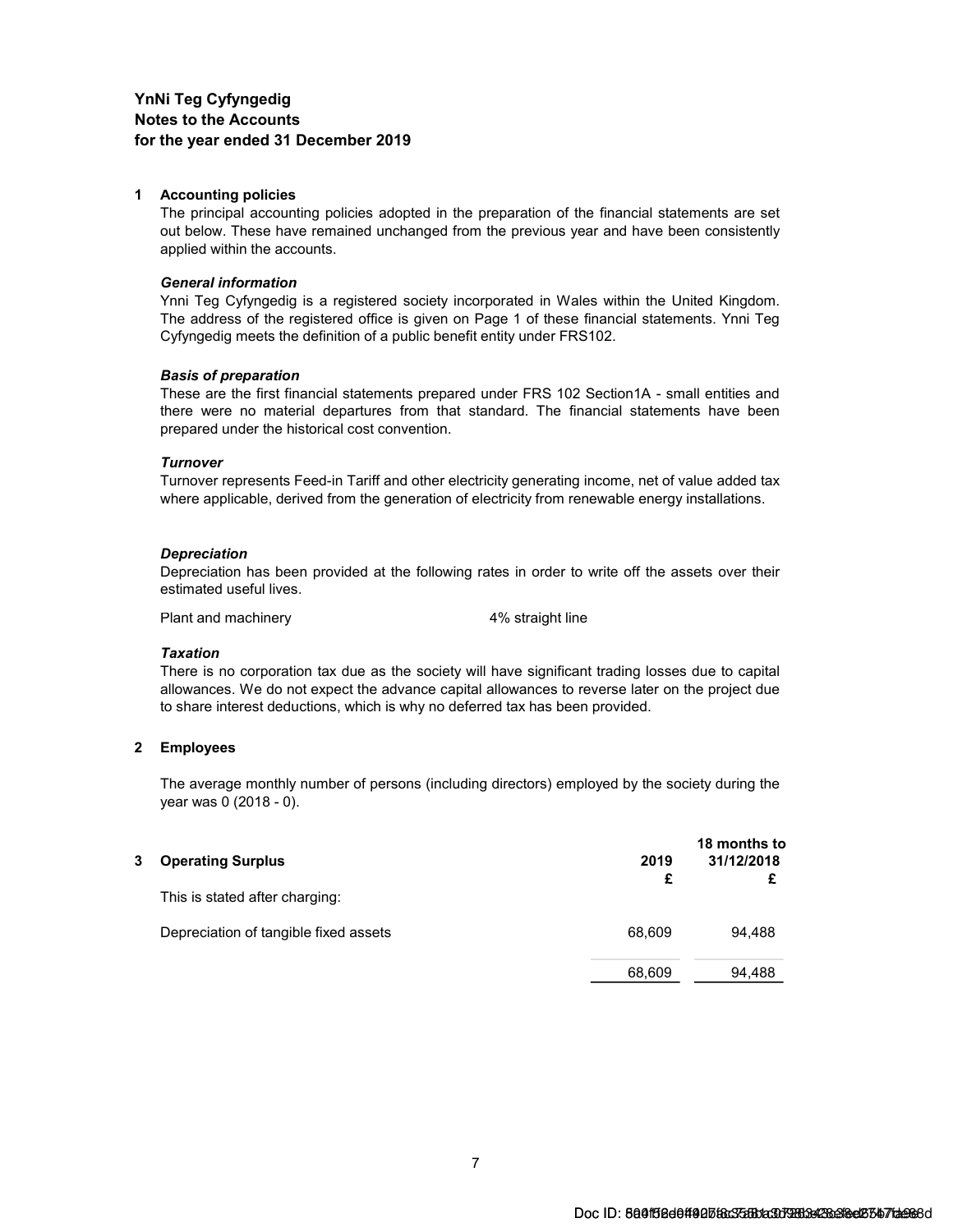#### 1 Accounting policies

The principal accounting policies adopted in the preparation of the financial statements are set out below. These have remained unchanged from the previous year and have been consistently applied within the accounts.

#### General information

Ynni Teg Cyfyngedig is a registered society incorporated in Wales within the United Kingdom. The address of the registered office is given on Page 1 of these financial statements. Ynni Teg Cyfyngedig meets the definition of a public benefit entity under FRS102.

#### Basis of preparation

These are the first financial statements prepared under FRS 102 Section1A - small entities and there were no material departures from that standard. The financial statements have been prepared under the historical cost convention.

#### **Turnover**

Turnover represents Feed-in Tariff and other electricity generating income, net of value added tax where applicable, derived from the generation of electricity from renewable energy installations.

#### **Depreciation**

Depreciation has been provided at the following rates in order to write off the assets over their estimated useful lives.

Plant and machinery and the 4% straight line

#### **Taxation**

There is no corporation tax due as the society will have significant trading losses due to capital allowances. We do not expect the advance capital allowances to reverse later on the project due to share interest deductions, which is why no deferred tax has been provided.

#### 2 Employees

The average monthly number of persons (including directors) employed by the society during the year was 0 (2018 - 0).

| 3 | <b>Operating Surplus</b>              | 2019<br>£ | 18 months to<br>31/12/2018 |
|---|---------------------------------------|-----------|----------------------------|
|   | This is stated after charging:        |           |                            |
|   | Depreciation of tangible fixed assets | 68,609    | 94,488                     |
|   |                                       | 68,609    | 94,488                     |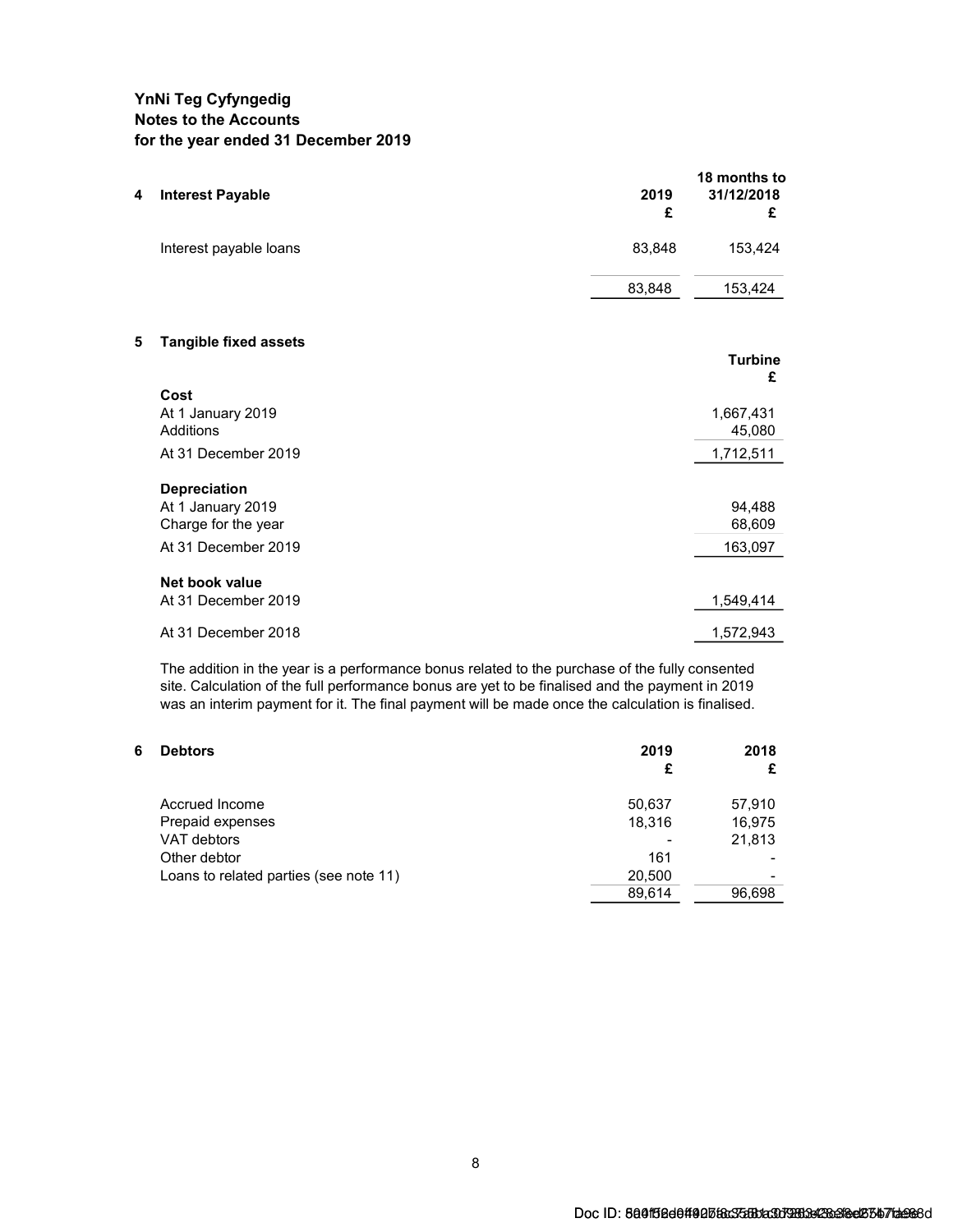| 4 | <b>Interest Payable</b>        | 2019<br>£ | 18 months to<br>31/12/2018<br>£ |
|---|--------------------------------|-----------|---------------------------------|
|   | Interest payable loans         | 83,848    | 153,424                         |
|   |                                | 83,848    | 153,424                         |
| 5 | <b>Tangible fixed assets</b>   |           | <b>Turbine</b><br>£             |
|   | Cost                           |           |                                 |
|   | At 1 January 2019<br>Additions |           | 1,667,431<br>45,080             |
|   | At 31 December 2019            |           | 1,712,511                       |
|   | <b>Depreciation</b>            |           |                                 |
|   | At 1 January 2019              |           | 94,488                          |
|   | Charge for the year            |           | 68,609                          |
|   | At 31 December 2019            |           | 163,097                         |
|   | Net book value                 |           |                                 |
|   | At 31 December 2019            |           | 1,549,414                       |
|   | At 31 December 2018            |           | 1,572,943                       |

The addition in the year is a performance bonus related to the purchase of the fully consented site. Calculation of the full performance bonus are yet to be finalised and the payment in 2019 was an interim payment for it. The final payment will be made once the calculation is finalised.

| 6 | <b>Debtors</b>                         | 2019<br>£ | 2018   |
|---|----------------------------------------|-----------|--------|
|   | Accrued Income                         | 50,637    | 57,910 |
|   | Prepaid expenses                       | 18.316    | 16,975 |
|   | VAT debtors                            |           | 21,813 |
|   | Other debtor                           | 161       |        |
|   | Loans to related parties (see note 11) | 20,500    | -      |
|   |                                        | 89.614    | 96.698 |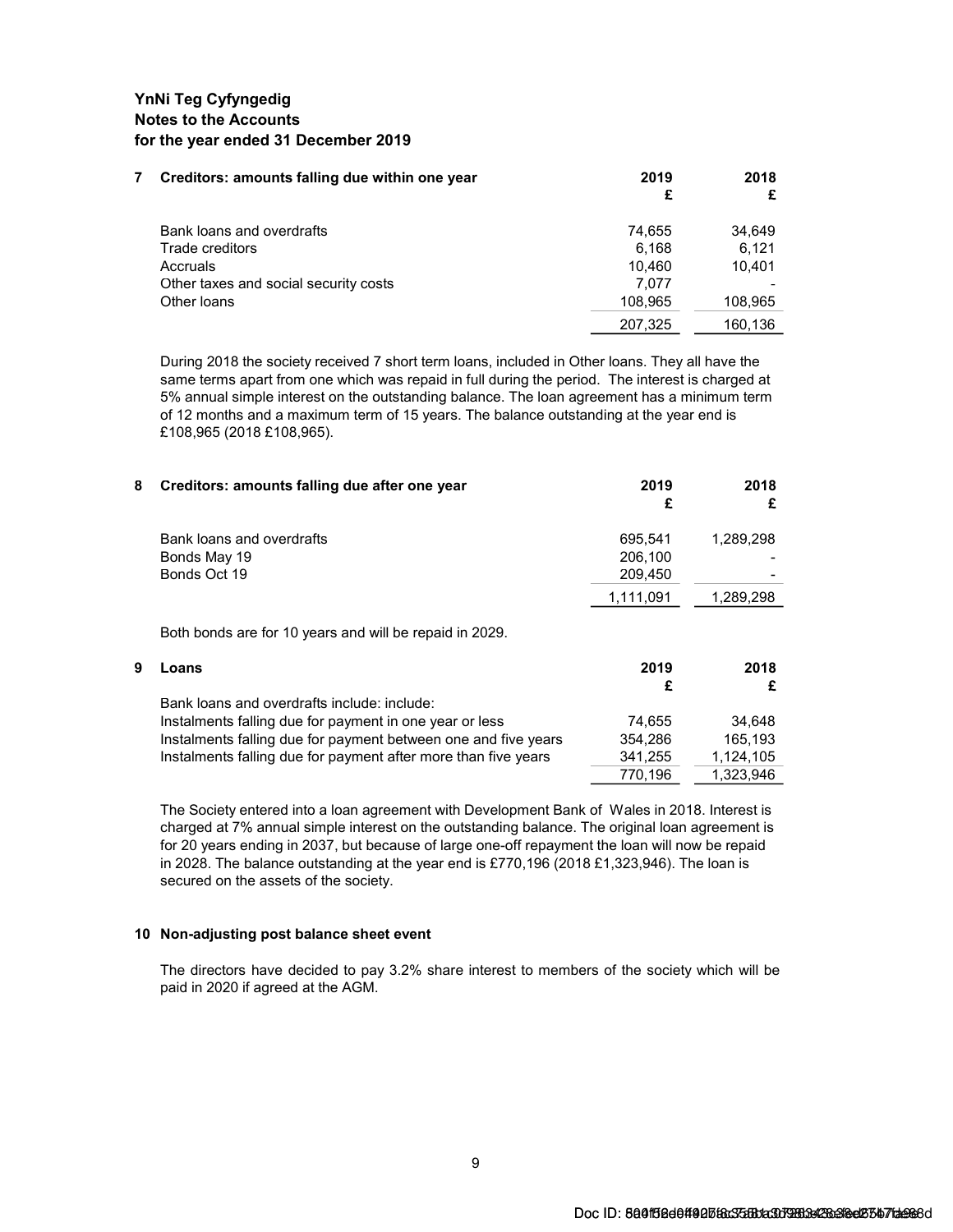| Creditors: amounts falling due within one year | 2019<br>£ | 2018    |
|------------------------------------------------|-----------|---------|
| Bank loans and overdrafts                      | 74.655    | 34,649  |
| Trade creditors                                | 6.168     | 6.121   |
| Accruals                                       | 10.460    | 10.401  |
| Other taxes and social security costs          | 7.077     |         |
| Other loans                                    | 108,965   | 108,965 |
|                                                | 207,325   | 160.136 |

During 2018 the society received 7 short term loans, included in Other loans. They all have the same terms apart from one which was repaid in full during the period. The interest is charged at 5% annual simple interest on the outstanding balance. The loan agreement has a minimum term of 12 months and a maximum term of 15 years. The balance outstanding at the year end is £108,965 (2018 £108,965).

| 8 | Creditors: amounts falling due after one year                  | 2019<br>£ | 2018<br>£ |
|---|----------------------------------------------------------------|-----------|-----------|
|   | Bank loans and overdrafts                                      | 695,541   | 1,289,298 |
|   | Bonds May 19                                                   | 206.100   |           |
|   | Bonds Oct 19                                                   | 209.450   |           |
|   |                                                                | 1,111,091 | 1,289,298 |
|   | Both bonds are for 10 years and will be repaid in 2029.        |           |           |
| 9 | Loans                                                          | 2019      | 2018      |
|   |                                                                | £         | £         |
|   | Bank loans and overdrafts include: include:                    |           |           |
|   | Instalments falling due for payment in one year or less        | 74,655    | 34,648    |
|   | Instalments falling due for payment between one and five years | 354,286   | 165,193   |
|   | Instalments falling due for payment after more than five years | 341,255   | 1,124,105 |
|   |                                                                | 770,196   | 1,323,946 |

The Society entered into a loan agreement with Development Bank of Wales in 2018. Interest is charged at 7% annual simple interest on the outstanding balance. The original loan agreement is for 20 years ending in 2037, but because of large one-off repayment the loan will now be repaid in 2028. The balance outstanding at the year end is £770,196 (2018 £1,323,946). The loan is secured on the assets of the society.

#### 10 Non-adjusting post balance sheet event

The directors have decided to pay 3.2% share interest to members of the society which will be paid in 2020 if agreed at the AGM.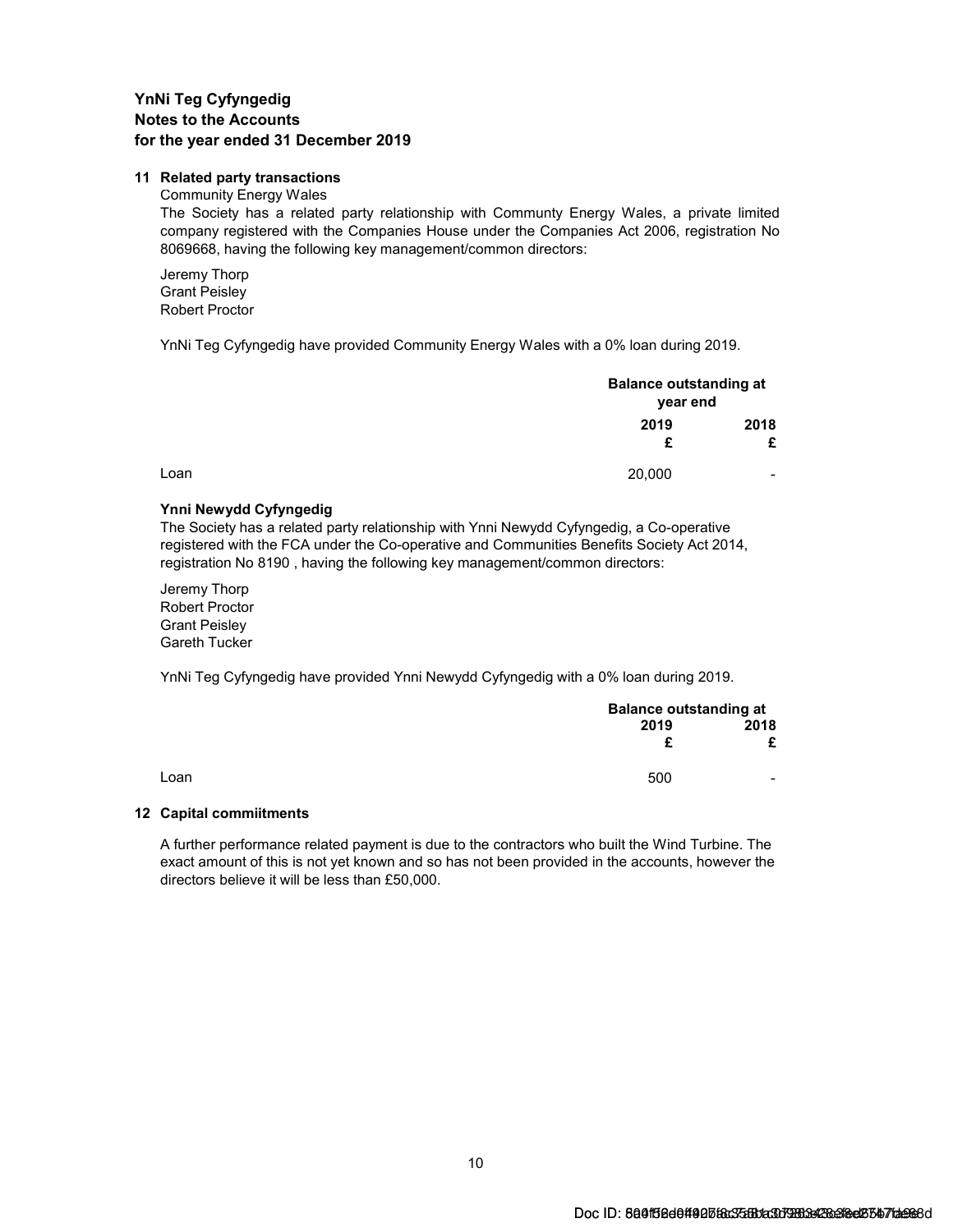#### 11 Related party transactions

#### Community Energy Wales

The Society has a related party relationship with Communty Energy Wales, a private limited company registered with the Companies House under the Companies Act 2006, registration No 8069668, having the following key management/common directors:

Jeremy Thorp Grant Peisley Robert Proctor

YnNi Teg Cyfyngedig have provided Community Energy Wales with a 0% loan during 2019.

|      |           | <b>Balance outstanding at</b><br>year end |
|------|-----------|-------------------------------------------|
|      | 2019<br>£ | 2018<br>£                                 |
| Loan | 20,000    | $\overline{\phantom{0}}$                  |

#### Ynni Newydd Cyfyngedig

The Society has a related party relationship with Ynni Newydd Cyfyngedig, a Co-operative registered with the FCA under the Co-operative and Communities Benefits Society Act 2014, registration No 8190 , having the following key management/common directors:

Jeremy Thorp Robert Proctor Grant Peisley Gareth Tucker

YnNi Teg Cyfyngedig have provided Ynni Newydd Cyfyngedig with a 0% loan during 2019.

|      |           | <b>Balance outstanding at</b> |  |
|------|-----------|-------------------------------|--|
|      | 2019<br>£ | 2018                          |  |
| Loan | 500       | $\blacksquare$                |  |

#### 12 Capital commiitments

A further performance related payment is due to the contractors who built the Wind Turbine. The exact amount of this is not yet known and so has not been provided in the accounts, however the directors believe it will be less than £50,000.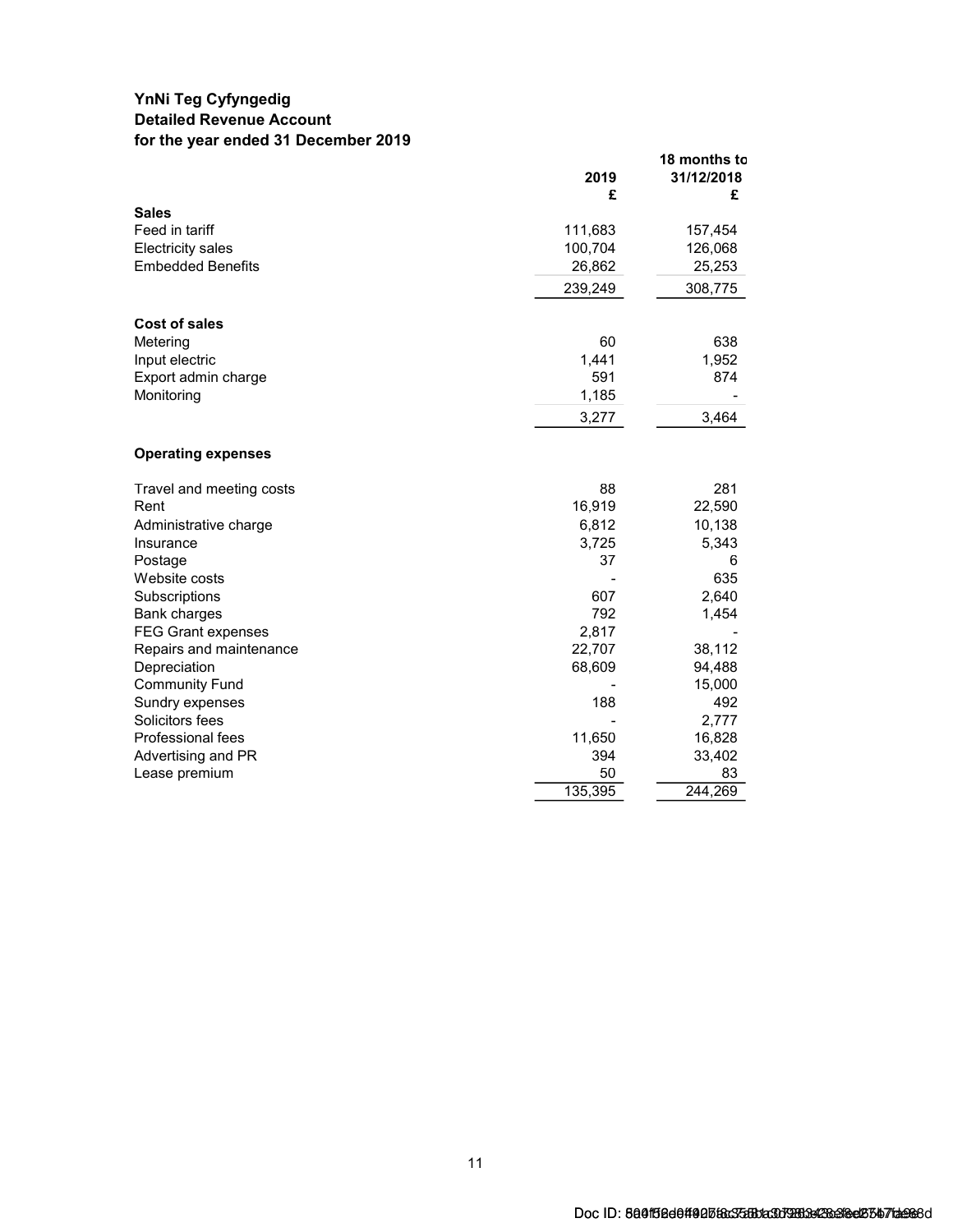### YnNi Teg Cyfyngedig Detailed Revenue Account for the year ended 31 December 2019

|                           | 2019<br>£ | 18 months to<br>31/12/2018<br>£ |
|---------------------------|-----------|---------------------------------|
| <b>Sales</b>              |           |                                 |
| Feed in tariff            | 111,683   | 157,454                         |
| <b>Electricity sales</b>  | 100,704   | 126,068                         |
| <b>Embedded Benefits</b>  | 26,862    | 25,253                          |
|                           | 239,249   | 308,775                         |
| <b>Cost of sales</b>      |           |                                 |
| Metering                  | 60        | 638                             |
| Input electric            | 1,441     | 1,952                           |
| Export admin charge       | 591       | 874                             |
| Monitoring                | 1,185     |                                 |
|                           | 3,277     | 3,464                           |
| <b>Operating expenses</b> |           |                                 |
| Travel and meeting costs  | 88        | 281                             |
| Rent                      | 16,919    | 22,590                          |
| Administrative charge     | 6,812     | 10,138                          |
| Insurance                 | 3,725     | 5,343                           |
| Postage                   | 37        | 6                               |
| Website costs             |           | 635                             |
| Subscriptions             | 607       | 2,640                           |
| Bank charges              | 792       | 1,454                           |
| <b>FEG Grant expenses</b> | 2,817     |                                 |
| Repairs and maintenance   | 22,707    | 38,112                          |
| Depreciation              | 68,609    | 94,488                          |
| <b>Community Fund</b>     |           | 15,000                          |
| Sundry expenses           | 188       | 492                             |
| Solicitors fees           |           | 2,777                           |
| Professional fees         | 11,650    | 16,828                          |
| Advertising and PR        | 394       | 33,402                          |
| Lease premium             | 50        | 83                              |
|                           | 135,395   | 244,269                         |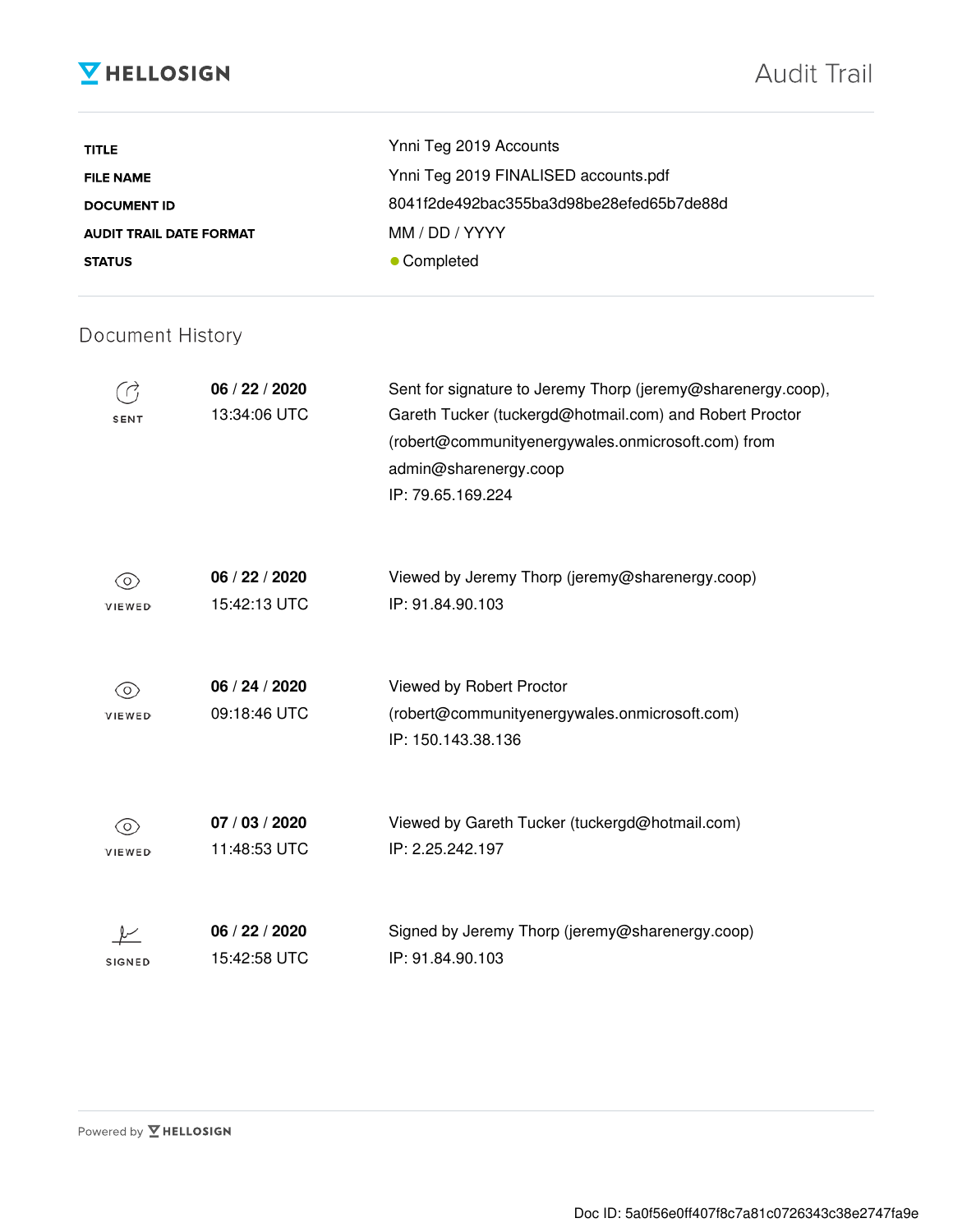# **V** HELLOSIGN

| <b>TITLE</b>                   | Ynni Teg 2019 Accounts                   |
|--------------------------------|------------------------------------------|
| <b>FILE NAME</b>               | Ynni Teg 2019 FINALISED accounts.pdf     |
| <b>DOCUMENT ID</b>             | 8041f2de492bac355ba3d98be28efed65b7de88d |
| <b>AUDIT TRAIL DATE FORMAT</b> | MM / DD / YYYY                           |
| <b>STATUS</b>                  | • Completed                              |

# Document History

| SENT              | 06 / 22 / 2020<br>13:34:06 UTC | Sent for signature to Jeremy Thorp (jeremy@sharenergy.coop),<br>Gareth Tucker (tuckergd@hotmail.com) and Robert Proctor<br>(robert@communityenergywales.onmicrosoft.com) from<br>admin@sharenergy.coop<br>IP: 79.65.169.224 |
|-------------------|--------------------------------|-----------------------------------------------------------------------------------------------------------------------------------------------------------------------------------------------------------------------------|
| $\circ$<br>VIEWED | 06 / 22 / 2020<br>15:42:13 UTC | Viewed by Jeremy Thorp (jeremy@sharenergy.coop)<br>IP: 91.84.90.103                                                                                                                                                         |
| 0)<br>VIEWED      | 06 / 24 / 2020<br>09:18:46 UTC | Viewed by Robert Proctor<br>(robert@communityenergywales.onmicrosoft.com)<br>IP: 150.143.38.136                                                                                                                             |
| 0<br>VIEWED       | 07 / 03 / 2020<br>11:48:53 UTC | Viewed by Gareth Tucker (tuckergd@hotmail.com)<br>IP: 2.25.242.197                                                                                                                                                          |
| <b>SIGNED</b>     | 06 / 22 / 2020<br>15:42:58 UTC | Signed by Jeremy Thorp (jeremy@sharenergy.coop)<br>IP: 91.84.90.103                                                                                                                                                         |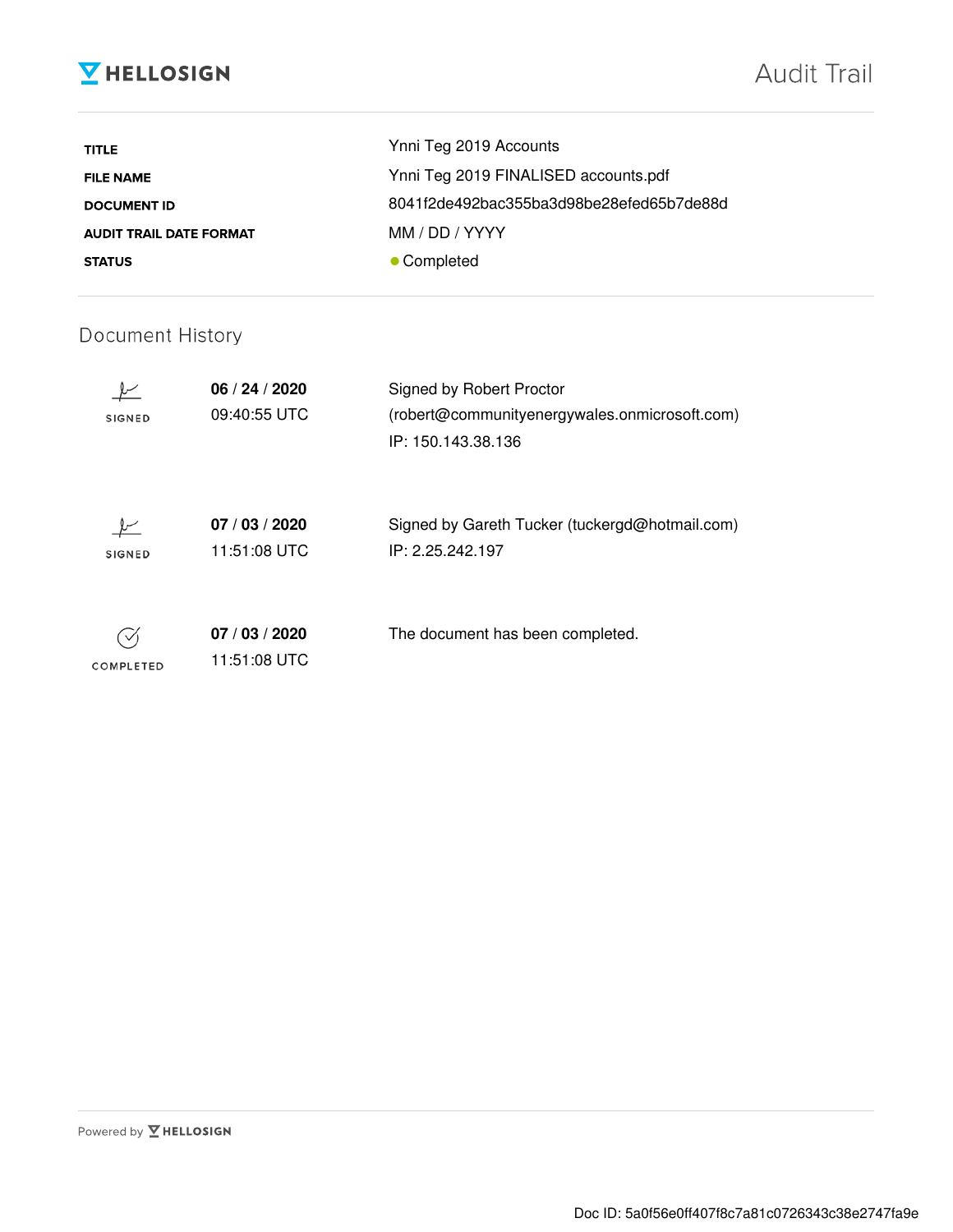# **V** HELLOSIGN

| <b>TITLE</b>                   | Ynni Teg 2019 Accounts                   |
|--------------------------------|------------------------------------------|
| <b>FILE NAME</b>               | Ynni Teg 2019 FINALISED accounts.pdf     |
| <b>DOCUMENT ID</b>             | 8041f2de492bac355ba3d98be28efed65b7de88d |
| <b>AUDIT TRAIL DATE FORMAT</b> | MM / DD / YYYY                           |
| <b>STATUS</b>                  | • Completed                              |

# Document History

| <b>SIGNED</b> | 06/24/2020<br>09:40:55 UTC     | Signed by Robert Proctor<br>(robert@communityenergywales.onmicrosoft.com)<br>IP: 150.143.38.136 |
|---------------|--------------------------------|-------------------------------------------------------------------------------------------------|
| <b>SIGNED</b> | 07/03/2020<br>11:51:08 UTC     | Signed by Gareth Tucker (tuckergd@hotmail.com)<br>IP: 2.25.242.197                              |
| COMPLETED     | 07 / 03 / 2020<br>11:51:08 UTC | The document has been completed.                                                                |

Powered by **Y** HELLOSIGN